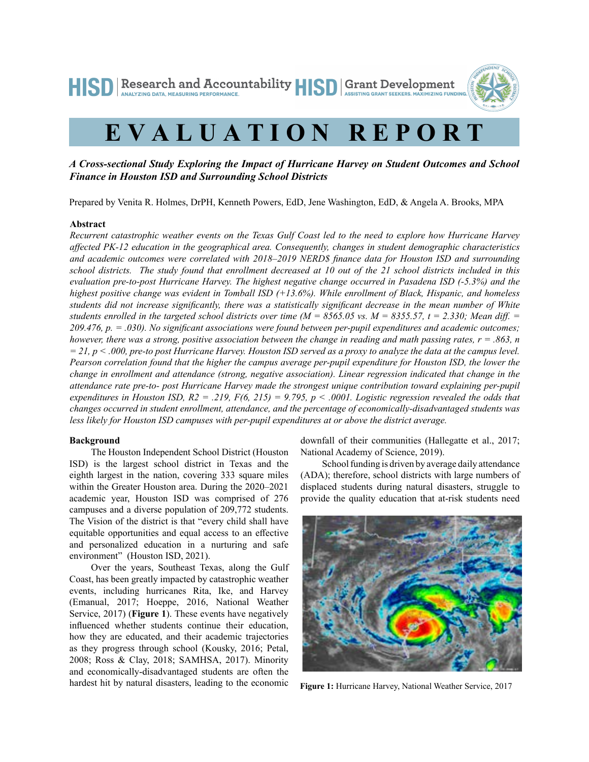HISD Research and Accountability HISD Grant Development ANALYZING DATA MEASURING PERFORMANCE



# **EVALUATION REPORT**

## *A Cross-sectional Study Exploring the Impact of Hurricane Harvey on Student Outcomes and School Finance in Houston ISD and Surrounding School Districts*

Prepared by Venita R. Holmes, DrPH, Kenneth Powers, EdD, Jene Washington, EdD, & Angela A. Brooks, MPA

#### **Abstract**

*Recurrent catastrophic weather events on the Texas Gulf Coast led to the need to explore how Hurricane Harvey affected PK-12 education in the geographical area. Consequently, changes in student demographic characteristics and academic outcomes were correlated with 2018*–*2019 NERD\$ finance data for Houston ISD and surrounding school districts. The study found that enrollment decreased at 10 out of the 21 school districts included in this evaluation pre-to-post Hurricane Harvey. The highest negative change occurred in Pasadena ISD (-5.3%) and the highest positive change was evident in Tomball ISD (+13.6%). While enrollment of Black, Hispanic, and homeless students did not increase significantly, there was a statistically significant decrease in the mean number of White*  students enrolled in the targeted school districts over time ( $M = 8565.05$  vs.  $M = 8355.57$ ,  $t = 2.330$ ; Mean diff.  $=$ *209.476, p. = .030). No significant associations were found between per-pupil expenditures and academic outcomes; however, there was a strong, positive association between the change in reading and math passing rates, r = .863, n = 21, p < .000, pre-to post Hurricane Harvey. Houston ISD served as a proxy to analyze the data at the campus level. Pearson correlation found that the higher the campus average per-pupil expenditure for Houston ISD, the lower the change in enrollment and attendance (strong, negative association). Linear regression indicated that change in the attendance rate pre-to- post Hurricane Harvey made the strongest unique contribution toward explaining per-pupil expenditures in Houston ISD, R2 = .219, F(6, 215) = 9.795, p < .0001. Logistic regression revealed the odds that changes occurred in student enrollment, attendance, and the percentage of economically-disadvantaged students was less likely for Houston ISD campuses with per-pupil expenditures at or above the district average.* 

#### **Background**

The Houston Independent School District (Houston ISD) is the largest school district in Texas and the eighth largest in the nation, covering 333 square miles within the Greater Houston area. During the 2020–2021 academic year, Houston ISD was comprised of 276 campuses and a diverse population of 209,772 students. The Vision of the district is that "every child shall have equitable opportunities and equal access to an effective and personalized education in a nurturing and safe environment" (Houston ISD, 2021).

Over the years, Southeast Texas, along the Gulf Coast, has been greatly impacted by catastrophic weather events, including hurricanes Rita, Ike, and Harvey (Emanual, 2017; Hoeppe, 2016, National Weather Service, 2017) (**Figure 1**). These events have negatively influenced whether students continue their education, how they are educated, and their academic trajectories as they progress through school (Kousky, 2016; Petal, 2008; Ross & Clay, 2018; SAMHSA, 2017). Minority and economically-disadvantaged students are often the hardest hit by natural disasters, leading to the economic

downfall of their communities (Hallegatte et al., 2017; National Academy of Science, 2019).

School funding is driven by average daily attendance (ADA); therefore, school districts with large numbers of displaced students during natural disasters, struggle to provide the quality education that at-risk students need



**Figure 1:** Hurricane Harvey, National Weather Service, 2017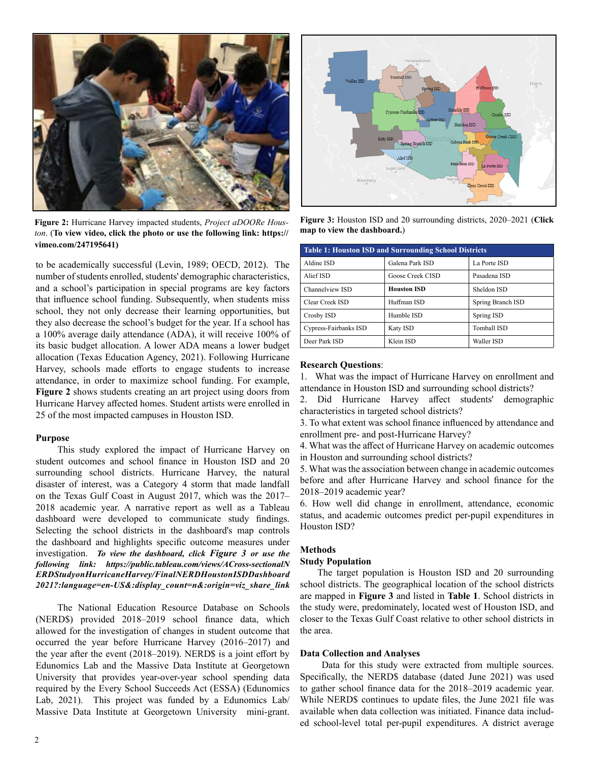

**Figure 2:** Hurricane Harvey impacted students, *Project aDOORe Hous-* Figure 3: Houston ISD and 2nd Figure 3: **Figure 3: Figure 3: Figure 3: Figure 3: Figure 3: Figure 3: Figure 3: Figure 3: Figure 3: Fi** *ton*. (**To view video, click the photo or use the following link: https:// vimeo.com/247195641)**

to be academically successful (Levin, 1989; OECD, 2012). The number of students enrolled, students' demographic characteristics, and a school's participation in special programs are key factors that influence school funding. Subsequently, when students miss school, they not only decrease their learning opportunities, but they also decrease the school's budget for the year. If a school has a 100% average daily attendance (ADA), it will receive 100% of its basic budget allocation. A lower ADA means a lower budget allocation (Texas Education Agency, 2021). Following Hurricane Harvey, schools made efforts to engage students to increase attendance, in order to maximize school funding. For example, **Figure 2** shows students creating an art project using doors from Hurricane Harvey affected homes. Student artists were enrolled in 25 of the most impacted campuses in Houston ISD.

#### **Purpose**

This study explored the impact of Hurricane Harvey on student outcomes and school finance in Houston ISD and 20 surrounding school districts. Hurricane Harvey, the natural disaster of interest, was a Category 4 storm that made landfall on the Texas Gulf Coast in August 2017, which was the 2017– 2018 academic year. A narrative report as well as a Tableau dashboard were developed to communicate study findings. Selecting the school districts in the dashboard's map controls the dashboard and highlights specific outcome measures under investigation. *To view the dashboard, click Figure 3 or use the [following link: https://public.tableau.com/views/ACross-sectionalN](https://public.tableau.com/views/ACross-sectionalNERDStudyonHurricaneHarvey/FinalNERDHoustonISDDashboard2021?:language=en-US&:display_count=n&:origin=viz_share_link) ERDStudyonHurricaneHarvey/FinalNERDHoustonISDDashboard 2021?:language=en-US&:display\_count=n&:origin=viz\_share\_link*

The National Education Resource Database on Schools (NERD\$) provided 2018–2019 school finance data, which allowed for the investigation of changes in student outcome that occurred the year before Hurricane Harvey (2016–2017) and the year after the event (2018–2019). NERD\$ is a joint effort by Edunomics Lab and the Massive Data Institute at Georgetown University that provides year-over-year school spending data required by the Every School Succeeds Act (ESSA) (Edunomics Lab, 2021). This project was funded by a Edunomics Lab/ Massive Data Institute at Georgetown University mini-grant.



**Figure 3:** Houston ISD and 20 surrounding districts, 2020–2021 (**Click** 

| <b>Table 1: Houston ISD and Surrounding School Districts</b> |                    |                    |  |  |  |  |  |
|--------------------------------------------------------------|--------------------|--------------------|--|--|--|--|--|
| Aldine ISD                                                   | Galena Park ISD    | La Porte ISD       |  |  |  |  |  |
| Alief ISD                                                    | Goose Creek CISD   | Pasadena ISD       |  |  |  |  |  |
| Channelview ISD                                              | <b>Houston ISD</b> | Sheldon ISD        |  |  |  |  |  |
| Clear Creek ISD                                              | Huffman ISD        | Spring Branch ISD  |  |  |  |  |  |
| Crosby ISD                                                   | Humble ISD         | Spring ISD         |  |  |  |  |  |
| Cypress-Fairbanks ISD                                        | Katy ISD           | <b>Tomball ISD</b> |  |  |  |  |  |
| Deer Park ISD                                                | Klein ISD          | Waller ISD         |  |  |  |  |  |

#### **Research Questions**:

1. What was the impact of Hurricane Harvey on enrollment and attendance in Houston ISD and surrounding school districts?

2. Did Hurricane Harvey affect students' demographic characteristics in targeted school districts?

3. To what extent was school finance influenced by attendance and enrollment pre- and post-Hurricane Harvey?

4. What was the affect of Hurricane Harvey on academic outcomes in Houston and surrounding school districts?

5. What was the association between change in academic outcomes before and after Hurricane Harvey and school finance for the 2018–2019 academic year?

6. How well did change in enrollment, attendance, economic status, and academic outcomes predict per-pupil expenditures in Houston ISD?

## **Methods**

#### **Study Population**

The target population is Houston ISD and 20 surrounding school districts. The geographical location of the school districts are mapped in **Figure 3** and listed in **Table 1**. School districts in the study were, predominately, located west of Houston ISD, and closer to the Texas Gulf Coast relative to other school districts in the area.

#### **Data Collection and Analyses**

Data for this study were extracted from multiple sources. Specifically, the NERD\$ database (dated June 2021) was used to gather school finance data for the 2018–2019 academic year. While NERD\$ continues to update files, the June 2021 file was available when data collection was initiated. Finance data included school-level total per-pupil expenditures. A district average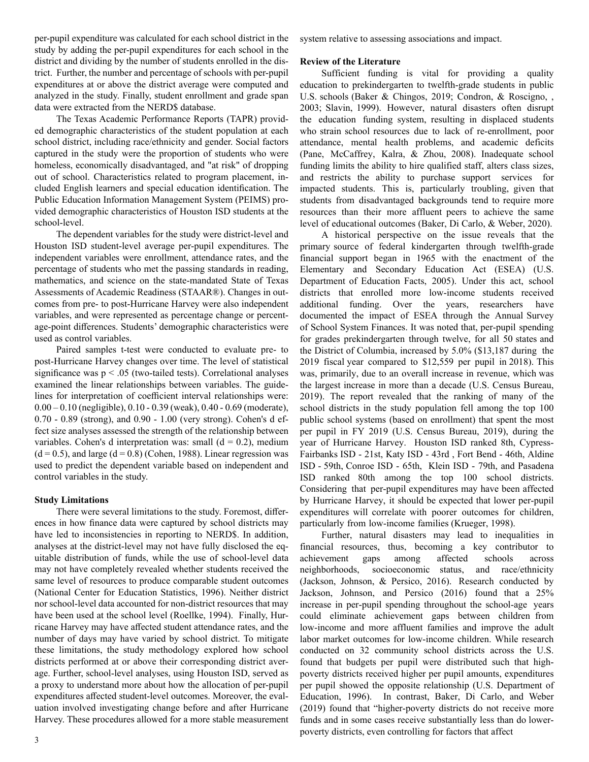per-pupil expenditure was calculated for each school district in the study by adding the per-pupil expenditures for each school in the district and dividing by the number of students enrolled in the district. Further, the number and percentage of schools with per-pupil expenditures at or above the district average were computed and analyzed in the study. Finally, student enrollment and grade span data were extracted from the NERD\$ database.

The Texas Academic Performance Reports (TAPR) provided demographic characteristics of the student population at each school district, including race/ethnicity and gender. Social factors captured in the study were the proportion of students who were homeless, economically disadvantaged, and "at risk" of dropping out of school. Characteristics related to program placement, included English learners and special education identification. The Public Education Information Management System (PEIMS) provided demographic characteristics of Houston ISD students at the school-level.

The dependent variables for the study were district-level and Houston ISD student-level average per-pupil expenditures. The independent variables were enrollment, attendance rates, and the percentage of students who met the passing standards in reading, mathematics, and science on the state-mandated State of Texas Assessments of Academic Readiness (STAAR®). Changes in outcomes from pre- to post-Hurricane Harvey were also independent variables, and were represented as percentage change or percentage-point differences. Students' demographic characteristics were used as control variables.

Paired samples t-test were conducted to evaluate pre- to post-Hurricane Harvey changes over time. The level of statistical significance was  $p < .05$  (two-tailed tests). Correlational analyses examined the linear relationships between variables. The guidelines for interpretation of coefficient interval relationships were: 0.00 – 0.10 (negligible), 0.10 - 0.39 (weak), 0.40 - 0.69 (moderate), 0.70 - 0.89 (strong), and 0.90 - 1.00 (very strong). Cohen's d effect size analyses assessed the strength of the relationship between variables. Cohen's d interpretation was: small  $(d = 0.2)$ , medium  $(d = 0.5)$ , and large  $(d = 0.8)$  (Cohen, 1988). Linear regression was used to predict the dependent variable based on independent and control variables in the study.

#### **Study Limitations**

There were several limitations to the study. Foremost, differences in how finance data were captured by school districts may have led to inconsistencies in reporting to NERD\$. In addition, analyses at the district-level may not have fully disclosed the equitable distribution of funds, while the use of school-level data may not have completely revealed whether students received the same level of resources to produce comparable student outcomes (National Center for Education Statistics, 1996). Neither district nor school-level data accounted for non-district resources that may have been used at the school level (Roellke, 1994). Finally, Hurricane Harvey may have affected student attendance rates, and the number of days may have varied by school district. To mitigate these limitations, the study methodology explored how school districts performed at or above their corresponding district average. Further, school-level analyses, using Houston ISD, served as a proxy to understand more about how the allocation of per-pupil expenditures affected student-level outcomes. Moreover, the evaluation involved investigating change before and after Hurricane Harvey. These procedures allowed for a more stable measurement system relative to assessing associations and impact.

#### **Review of the Literature**

Sufficient funding is vital for providing a quality education to prekindergarten to twelfth-grade students in public U.S. schools (Baker & Chingos, 2019; Condron, & Roscigno, , 2003; Slavin, 1999). However, natural disasters often disrupt the education funding system, resulting in displaced students who strain school resources due to lack of re-enrollment, poor attendance, mental health problems, and academic deficits (Pane, McCaffrey, Kalra, & Zhou, 2008). Inadequate school funding limits the ability to hire qualified staff, alters class sizes, and restricts the ability to purchase support services for impacted students. This is, particularly troubling, given that students from disadvantaged backgrounds tend to require more resources than their more affluent peers to achieve the same level of educational outcomes (Baker, Di Carlo, & Weber, 2020).

A historical perspective on the issue reveals that the primary source of federal kindergarten through twelfth-grade financial support began in 1965 with the enactment of the Elementary and Secondary Education Act (ESEA) (U.S. Department of Education Facts, 2005). Under this act, school districts that enrolled more low-income students received additional funding. Over the years, researchers have documented the impact of ESEA through the Annual Survey of School System Finances. It was noted that, per-pupil spending for grades prekindergarten through twelve, for all 50 states and the District of Columbia, increased by 5.0% (\$13,187 during the 2019 fiscal year compared to \$12,559 per pupil in 2018). This was, primarily, due to an overall increase in revenue, which was the largest increase in more than a decade (U.S. Census Bureau, 2019). The report revealed that the ranking of many of the school districts in the study population fell among the top 100 public school systems (based on enrollment) that spent the most per pupil in FY 2019 (U.S. Census Bureau, 2019), during the year of Hurricane Harvey. Houston ISD ranked 8th, Cypress-Fairbanks ISD - 21st, Katy ISD - 43rd , Fort Bend - 46th, Aldine ISD - 59th, Conroe ISD - 65th, Klein ISD - 79th, and Pasadena ISD ranked 80th among the top 100 school districts. Considering that per-pupil expenditures may have been affected by Hurricane Harvey, it should be expected that lower per-pupil expenditures will correlate with poorer outcomes for children, particularly from low-income families (Krueger, 1998).

Further, natural disasters may lead to inequalities in financial resources, thus, becoming a key contributor to achievement gaps among affected schools across neighborhoods, socioeconomic status, and race/ethnicity (Jackson, Johnson, & Persico, 2016). Research conducted by Jackson, Johnson, and Persico (2016) found that a 25% increase in per-pupil spending throughout the school-age years could eliminate achievement gaps between children from low-income and more affluent families and improve the adult labor market outcomes for low-income children. While research conducted on 32 community school districts across the U.S. found that budgets per pupil were distributed such that highpoverty districts received higher per pupil amounts, expenditures per pupil showed the opposite relationship (U.S. Department of Education, 1996). In contrast, Baker, Di Carlo, and Weber (2019) found that "higher-poverty districts do not receive more funds and in some cases receive substantially less than do lowerpoverty districts, even controlling for factors that affect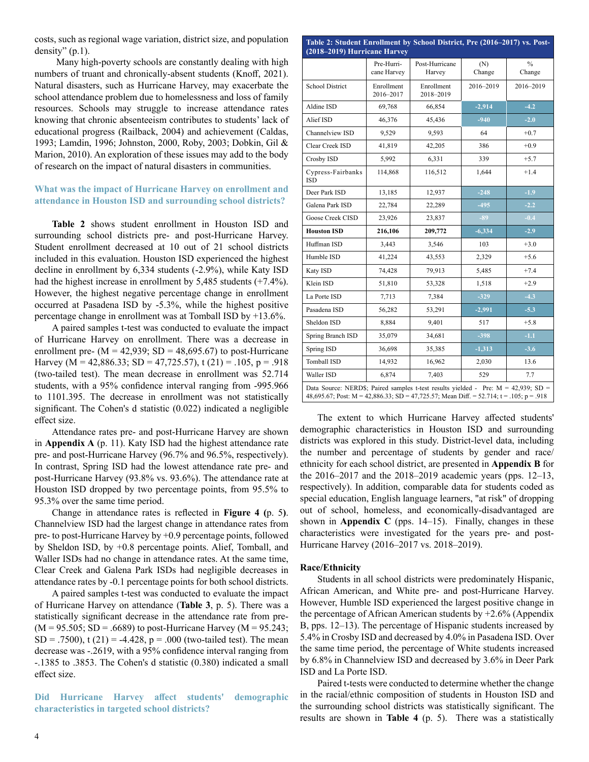costs, such as regional wage variation, district size, and population density"  $(p.1)$ .

Many high-poverty schools are constantly dealing with high numbers of truant and chronically-absent students (Knoff, 2021). Natural disasters, such as Hurricane Harvey, may exacerbate the school attendance problem due to homelessness and loss of family resources. Schools may struggle to increase attendance rates knowing that chronic absenteeism contributes to students' lack of educational progress (Railback, 2004) and achievement (Caldas, 1993; Lamdin, 1996; Johnston, 2000, Roby, 2003; Dobkin, Gil & Marion, 2010). An exploration of these issues may add to the body of research on the impact of natural disasters in communities.

## **What was the impact of Hurricane Harvey on enrollment and attendance in Houston ISD and surrounding school districts?**

**Table 2** shows student enrollment in Houston ISD and surrounding school districts pre- and post-Hurricane Harvey. Student enrollment decreased at 10 out of 21 school districts included in this evaluation. Houston ISD experienced the highest decline in enrollment by 6,334 students (-2.9%), while Katy ISD had the highest increase in enrollment by 5,485 students  $(+7.4\%)$ . However, the highest negative percentage change in enrollment occurred at Pasadena ISD by -5.3%, while the highest positive percentage change in enrollment was at Tomball ISD by +13.6%.

A paired samples t-test was conducted to evaluate the impact of Hurricane Harvey on enrollment. There was a decrease in enrollment pre-  $(M = 42,939; SD = 48,695.67)$  to post-Hurricane Harvey (M = 42,886.33; SD = 47,725.57), t (21) = .105, p = .918 (two-tailed test). The mean decrease in enrollment was 52.714 students, with a 95% confidence interval ranging from -995.966 to 1101.395. The decrease in enrollment was not statistically significant. The Cohen's d statistic (0.022) indicated a negligible effect size.

Attendance rates pre- and post-Hurricane Harvey are shown in **Appendix A** (p. 11). Katy ISD had the highest attendance rate pre- and post-Hurricane Harvey (96.7% and 96.5%, respectively). In contrast, Spring ISD had the lowest attendance rate pre- and post-Hurricane Harvey (93.8% vs. 93.6%). The attendance rate at Houston ISD dropped by two percentage points, from 95.5% to 95.3% over the same time period.

Change in attendance rates is reflected in **Figure 4 (**p. 5**)**. Channelview ISD had the largest change in attendance rates from pre- to post-Hurricane Harvey by +0.9 percentage points, followed by Sheldon ISD, by +0.8 percentage points. Alief, Tomball, and Waller ISDs had no change in attendance rates. At the same time, Clear Creek and Galena Park ISDs had negligible decreases in attendance rates by -0.1 percentage points for both school districts.

A paired samples t-test was conducted to evaluate the impact of Hurricane Harvey on attendance (**Table 3**, p. 5). There was a statistically significant decrease in the attendance rate from pre-  $(M = 95.505; SD = .6689)$  to post-Hurricane Harvey  $(M = 95.243;$  $SD = .7500$ , t (21) = -4.428, p = .000 (two-tailed test). The mean decrease was -.2619, with a 95% confidence interval ranging from -.1385 to .3853. The Cohen's d statistic (0.380) indicated a small effect size.

**Did Hurricane Harvey affect students' demographic characteristics in targeted school districts?** 

| Post-Hurricane<br>(N)<br>Harvey<br>Change<br>Enrollment<br>2016-2019<br>2018-2019<br>$-2,914$<br>66,854<br>$-940$<br>45,436<br>9,593<br>64<br>42,205<br>386<br>6,331<br>339 | $\frac{0}{0}$<br>Change<br>2016-2019<br>$-4.2$<br>$-2.0$<br>$+0.7$<br>$+0.9$                                                                                                                                                                                                                                                    |  |  |  |  |  |  |  |
|-----------------------------------------------------------------------------------------------------------------------------------------------------------------------------|---------------------------------------------------------------------------------------------------------------------------------------------------------------------------------------------------------------------------------------------------------------------------------------------------------------------------------|--|--|--|--|--|--|--|
|                                                                                                                                                                             |                                                                                                                                                                                                                                                                                                                                 |  |  |  |  |  |  |  |
|                                                                                                                                                                             |                                                                                                                                                                                                                                                                                                                                 |  |  |  |  |  |  |  |
|                                                                                                                                                                             |                                                                                                                                                                                                                                                                                                                                 |  |  |  |  |  |  |  |
|                                                                                                                                                                             |                                                                                                                                                                                                                                                                                                                                 |  |  |  |  |  |  |  |
|                                                                                                                                                                             |                                                                                                                                                                                                                                                                                                                                 |  |  |  |  |  |  |  |
|                                                                                                                                                                             |                                                                                                                                                                                                                                                                                                                                 |  |  |  |  |  |  |  |
|                                                                                                                                                                             | $+5.7$                                                                                                                                                                                                                                                                                                                          |  |  |  |  |  |  |  |
| 116,512<br>1,644                                                                                                                                                            | $+1.4$                                                                                                                                                                                                                                                                                                                          |  |  |  |  |  |  |  |
| $-248$<br>12,937                                                                                                                                                            | $-1.9$                                                                                                                                                                                                                                                                                                                          |  |  |  |  |  |  |  |
| $-495$<br>22,289                                                                                                                                                            | $-2.2$                                                                                                                                                                                                                                                                                                                          |  |  |  |  |  |  |  |
| $-89$<br>23,837                                                                                                                                                             | $-0.4$                                                                                                                                                                                                                                                                                                                          |  |  |  |  |  |  |  |
| 209,772<br>$-6,334$                                                                                                                                                         | $-2.9$                                                                                                                                                                                                                                                                                                                          |  |  |  |  |  |  |  |
| 3,546<br>103                                                                                                                                                                | $+3.0$                                                                                                                                                                                                                                                                                                                          |  |  |  |  |  |  |  |
| 43,553<br>2,329                                                                                                                                                             | $+5.6$                                                                                                                                                                                                                                                                                                                          |  |  |  |  |  |  |  |
| 79,913<br>5,485                                                                                                                                                             | $+7.4$                                                                                                                                                                                                                                                                                                                          |  |  |  |  |  |  |  |
| 1,518<br>53,328                                                                                                                                                             | $+2.9$                                                                                                                                                                                                                                                                                                                          |  |  |  |  |  |  |  |
| $-329$<br>7.384                                                                                                                                                             | $-4.3$                                                                                                                                                                                                                                                                                                                          |  |  |  |  |  |  |  |
| 53,291<br>$-2.991$                                                                                                                                                          | $-5.3$                                                                                                                                                                                                                                                                                                                          |  |  |  |  |  |  |  |
|                                                                                                                                                                             | $+5.8$                                                                                                                                                                                                                                                                                                                          |  |  |  |  |  |  |  |
| 9,401<br>517                                                                                                                                                                | $-1.1$                                                                                                                                                                                                                                                                                                                          |  |  |  |  |  |  |  |
| $-398$<br>34,681                                                                                                                                                            | $-3.6$                                                                                                                                                                                                                                                                                                                          |  |  |  |  |  |  |  |
|                                                                                                                                                                             |                                                                                                                                                                                                                                                                                                                                 |  |  |  |  |  |  |  |
|                                                                                                                                                                             | 13.6                                                                                                                                                                                                                                                                                                                            |  |  |  |  |  |  |  |
|                                                                                                                                                                             | Spring ISD<br>36,698<br>35,385<br>$-1,313$<br><b>Tomball ISD</b><br>14,932<br>16,962<br>2,030<br>7.7<br>Waller ISD<br>6,874<br>7,403<br>529<br>Data Source: NERD\$; Paired samples t-test results yielded - Pre: $M = 42,939$ ; SD =<br>48,695.67; Post: M = 42,886.33; SD = 47,725.57; Mean Diff. = 52.714; t = .105; p = .918 |  |  |  |  |  |  |  |

The extent to which Hurricane Harvey affected students' demographic characteristics in Houston ISD and surrounding districts was explored in this study. District-level data, including the number and percentage of students by gender and race/ ethnicity for each school district, are presented in **Appendix B** for the 2016–2017 and the 2018–2019 academic years (pps. 12–13, respectively). In addition, comparable data for students coded as special education, English language learners, "at risk" of dropping out of school, homeless, and economically-disadvantaged are shown in **Appendix C** (pps. 14–15). Finally, changes in these characteristics were investigated for the years pre- and post-Hurricane Harvey (2016–2017 vs. 2018–2019).

#### **Race/Ethnicity**

Students in all school districts were predominately Hispanic, African American, and White pre- and post-Hurricane Harvey. However, Humble ISD experienced the largest positive change in the percentage of African American students by +2.6% (Appendix B, pps. 12–13). The percentage of Hispanic students increased by 5.4% in Crosby ISD and decreased by 4.0% in Pasadena ISD. Over the same time period, the percentage of White students increased by 6.8% in Channelview ISD and decreased by 3.6% in Deer Park ISD and La Porte ISD.

Paired t-tests were conducted to determine whether the change in the racial/ethnic composition of students in Houston ISD and the surrounding school districts was statistically significant. The results are shown in **Table 4** (p. 5). There was a statistically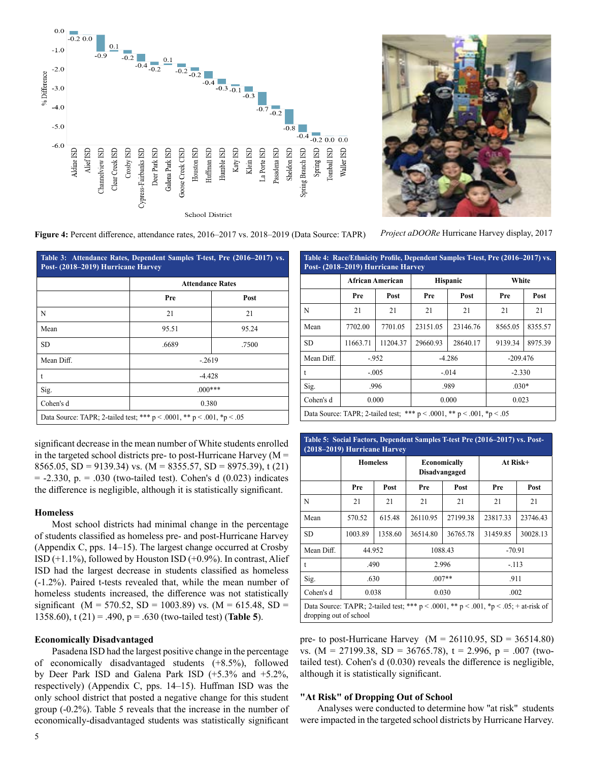



*Project aDOORe* Hurricane Harvey display, 2017

**Figure 4:** Percent difference, attendance rates, 2016–2017 vs. 2018–2019 (Data Source: TAPR)

**Table 3: Attendance Rates, Dependent Samples T-test, Pre (2016–2017) vs. Post- (2018–2019) Hurricane Harvey Attendance Rates Pre Post** N 21 21 21 Mean 1 95.51 95.24 SD .6689 .7500 Mean Diff.  $\qquad \qquad$  -.2619 t  $-4.428$  $\text{Sig.}$  .000\*\*\* Cohen's d 0.380 Data Source: TAPR; 2-tailed test; \*\*\* p < .0001, \*\* p < .001, \*p < .05

**Post- (2018–2019) Hurricane Harvey African American Hispanic White Pre Post Pre Post Pre Post** N 21 21 21 21 21 21 21 Mean 7702.00 7701.05 23151.05 23146.76 8565.05 8355.57 SD 11663.71 | 11204.37 | 29660.93 | 28640.17 | 9139.34 | 8975.39 Mean Diff. | -.952 | -4.286 | -209.476 t  $-0.005$   $-0.014$   $-2.330$ Sig. 1 .996 .989 .030\* Cohen's d 0.000 0.000 0.023 Data Source: TAPR; 2-tailed test; \*\*\* p < .0001, \*\* p < .001, \*p < .05

**Table 4: Race/Ethnicity Profile, Dependent Samples T-test, Pre (2016–2017) vs.** 

significant decrease in the mean number of White students enrolled in the targeted school districts pre- to post-Hurricane Harvey ( $M =$ 8565.05, SD = 9139.34) vs. (M = 8355.57, SD = 8975.39), t (21)  $= -2.330$ , p.  $= .030$  (two-tailed test). Cohen's d (0.023) indicates the difference is negligible, although it is statistically significant.

#### **Homeless**

Most school districts had minimal change in the percentage of students classified as homeless pre- and post-Hurricane Harvey (Appendix C, pps. 14–15). The largest change occurred at Crosby ISD (+1.1%), followed by Houston ISD (+0.9%). In contrast, Alief ISD had the largest decrease in students classified as homeless (-1.2%). Paired t-tests revealed that, while the mean number of homeless students increased, the difference was not statistically significant (M = 570.52, SD = 1003.89) vs. (M = 615.48, SD = 1358.60), t (21) = .490, p = .630 (two-tailed test) (**Table 5**).

#### **Economically Disadvantaged**

Pasadena ISD had the largest positive change in the percentage of economically disadvantaged students (+8.5%), followed by Deer Park ISD and Galena Park ISD (+5.3% and +5.2%, respectively) (Appendix C, pps. 14–15). Huffman ISD was the only school district that posted a negative change for this student group (-0.2%). Table 5 reveals that the increase in the number of economically-disadvantaged students was statistically significant

| Table 5: Social Factors, Dependent Samples T-test Pre (2016–2017) vs. Post-<br>(2018–2019) Hurricane Harvey |                                                                                                                      |         |                                      |          |          |          |  |
|-------------------------------------------------------------------------------------------------------------|----------------------------------------------------------------------------------------------------------------------|---------|--------------------------------------|----------|----------|----------|--|
|                                                                                                             | <b>Homeless</b>                                                                                                      |         | <b>Economically</b><br>Disadvangaged |          | At Risk+ |          |  |
|                                                                                                             | Pre                                                                                                                  | Post    | Pre                                  | Post     | Pre      | Post     |  |
| N                                                                                                           | 21                                                                                                                   | 21      | 21                                   | 21       | 21       | 21       |  |
| Mean                                                                                                        | 570.52                                                                                                               | 615.48  | 26110.95                             | 27199.38 | 23817.33 | 23746.43 |  |
| <b>SD</b>                                                                                                   | 1003.89                                                                                                              | 1358.60 | 36514.80                             | 36765.78 | 31459.85 | 30028.13 |  |
| Mean Diff.                                                                                                  |                                                                                                                      | 44.952  |                                      | 1088.43  |          | $-70.91$ |  |
| t                                                                                                           | .490                                                                                                                 |         |                                      | 2.996    |          | $-.113$  |  |
| Sig.                                                                                                        | .630                                                                                                                 |         |                                      | $.007**$ | .911     |          |  |
| Cohen's d                                                                                                   | 0.038                                                                                                                |         | 0.030                                |          | .002     |          |  |
|                                                                                                             | Data Source: TAPR; 2-tailed test; *** $p < .0001$ , ** $p < .001$ , *p < .05; + at-risk of<br>dropping out of school |         |                                      |          |          |          |  |

pre- to post-Hurricane Harvey  $(M = 26110.95, SD = 36514.80)$ vs. (M = 27199.38, SD = 36765.78),  $t = 2.996$ ,  $p = .007$  (twotailed test). Cohen's d (0.030) reveals the difference is negligible, although it is statistically significant.

#### **"At Risk" of Dropping Out of School**

Analyses were conducted to determine how "at risk" students were impacted in the targeted school districts by Hurricane Harvey.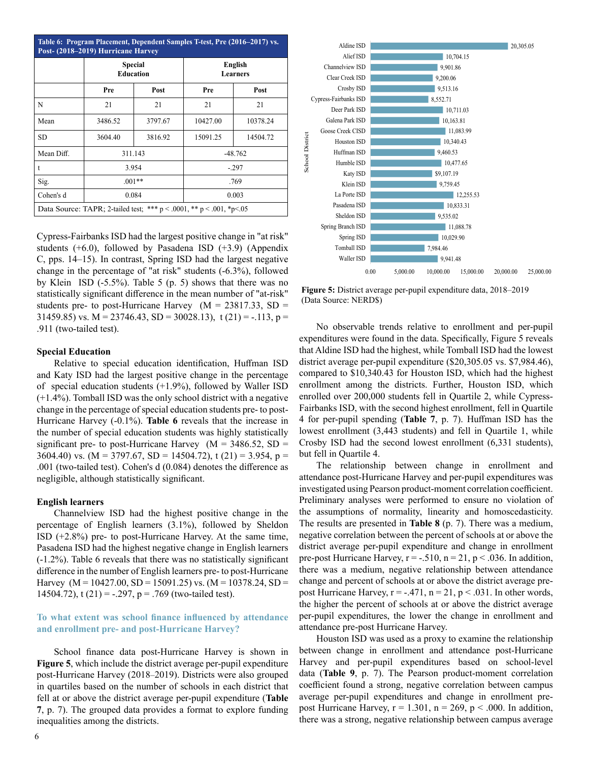| Table 6: Program Placement, Dependent Samples T-test, Pre (2016–2017) vs.<br>Post- (2018-2019) Hurricane Harvey |                                    |         |           |                     |  |  |
|-----------------------------------------------------------------------------------------------------------------|------------------------------------|---------|-----------|---------------------|--|--|
|                                                                                                                 | <b>Special</b><br><b>Education</b> |         |           | English<br>Learners |  |  |
|                                                                                                                 | Pre                                | Post    | Pre       | Post                |  |  |
| N                                                                                                               | 21                                 | 21      | 21        | 21                  |  |  |
| Mean                                                                                                            | 3486.52                            | 3797.67 | 10427.00  | 10378.24            |  |  |
| SD.                                                                                                             | 3604.40                            | 3816.92 | 15091.25  | 14504.72            |  |  |
| Mean Diff.                                                                                                      | 311.143                            |         | $-48.762$ |                     |  |  |
| t                                                                                                               | 3.954                              |         | $-.297$   |                     |  |  |
| Sig.                                                                                                            | $.001**$                           |         | .769      |                     |  |  |
| Cohen's d                                                                                                       | 0.084                              |         | 0.003     |                     |  |  |
| Data Source: TAPR; 2-tailed test; *** $p < .0001$ , ** $p < .001$ , *p $< .05$                                  |                                    |         |           |                     |  |  |

Cypress-Fairbanks ISD had the largest positive change in "at risk" students (+6.0), followed by Pasadena ISD (+3.9) (Appendix C, pps. 14–15). In contrast, Spring ISD had the largest negative change in the percentage of "at risk" students (-6.3%), followed by Klein ISD (-5.5%). Table 5 (p. 5) shows that there was no statistically significant difference in the mean number of "at-risk" students pre- to post-Hurricane Harvey  $(M = 23817.33, SD =$ 31459.85) vs. M = 23746.43, SD = 30028.13), t (21) = -.113, p = .911 (two-tailed test).

#### **Special Education**

Relative to special education identification, Huffman ISD and Katy ISD had the largest positive change in the percentage of special education students (+1.9%), followed by Waller ISD (+1.4%). Tomball ISD was the only school district with a negative change in the percentage of special education students pre- to post-Hurricane Harvey (-0.1%). **Table 6** reveals that the increase in the number of special education students was highly statistically significant pre- to post-Hurricane Harvey ( $M = 3486.52$ , SD = 3604.40) vs. (M = 3797.67, SD = 14504.72), t (21) = 3.954, p = .001 (two-tailed test). Cohen's d (0.084) denotes the difference as negligible, although statistically significant.

#### **English learners**

Channelview ISD had the highest positive change in the percentage of English learners (3.1%), followed by Sheldon ISD (+2.8%) pre- to post-Hurricane Harvey. At the same time, Pasadena ISD had the highest negative change in English learners (-1.2%). Table 6 reveals that there was no statistically significant difference in the number of English learners pre- to post-Hurricane Harvey (M = 10427.00, SD = 15091.25) vs. (M = 10378.24, SD = 14504.72), t (21) = -.297, p = .769 (two-tailed test).

## **To what extent was school finance influenced by attendance and enrollment pre- and post-Hurricane Harvey?**

School finance data post-Hurricane Harvey is shown in **Figure 5**, which include the district average per-pupil expenditure post-Hurricane Harvey (2018–2019). Districts were also grouped in quartiles based on the number of schools in each district that fell at or above the district average per-pupil expenditure (**Table 7**, p. 7). The grouped data provides a format to explore funding inequalities among the districts.



Figure 5: District average per-pupil expenditure data, 2018–2019 (Data Source: NERD\$)

No observable trends relative to enrollment and per-pupil expenditures were found in the data. Specifically, Figure 5 reveals that Aldine ISD had the highest, while Tomball ISD had the lowest district average per-pupil expenditure (\$20,305.05 vs. \$7,984.46), compared to \$10,340.43 for Houston ISD, which had the highest enrollment among the districts. Further, Houston ISD, which enrolled over 200,000 students fell in Quartile 2, while Cypress-Fairbanks ISD, with the second highest enrollment, fell in Quartile 4 for per-pupil spending (**Table 7**, p. 7). Huffman ISD has the lowest enrollment (3,443 students) and fell in Quartile 1, while Crosby ISD had the second lowest enrollment (6,331 students), but fell in Quartile 4.

The relationship between change in enrollment and attendance post-Hurricane Harvey and per-pupil expenditures was investigated using Pearson product-moment correlation coefficient. Preliminary analyses were performed to ensure no violation of the assumptions of normality, linearity and homoscedasticity. The results are presented in **Table 8** (p. 7). There was a medium, negative correlation between the percent of schools at or above the district average per-pupil expenditure and change in enrollment pre-post Hurricane Harvey,  $r = -.510$ ,  $n = 21$ ,  $p < .036$ . In addition, there was a medium, negative relationship between attendance change and percent of schools at or above the district average prepost Hurricane Harvey,  $r = -.471$ ,  $n = 21$ ,  $p < .031$ . In other words, the higher the percent of schools at or above the district average per-pupil expenditures, the lower the change in enrollment and attendance pre-post Hurricane Harvey.

Houston ISD was used as a proxy to examine the relationship between change in enrollment and attendance post-Hurricane Harvey and per-pupil expenditures based on school-level data (**Table 9**, p. 7). The Pearson product-moment correlation coefficient found a strong, negative correlation between campus average per-pupil expenditures and change in enrollment prepost Hurricane Harvey,  $r = 1.301$ ,  $n = 269$ ,  $p < .000$ . In addition, there was a strong, negative relationship between campus average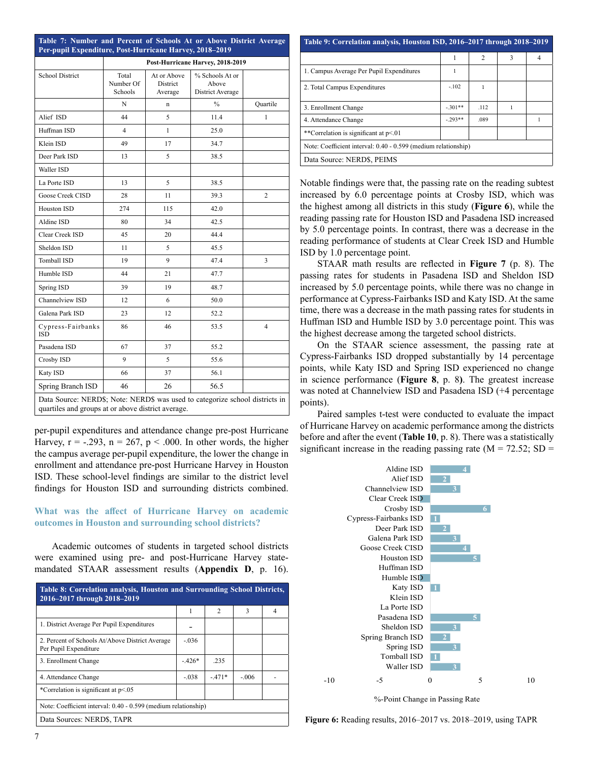|                                 |                               |                                    | Post-Hurricane Harvey, 2018-2019             |                |
|---------------------------------|-------------------------------|------------------------------------|----------------------------------------------|----------------|
| <b>School District</b>          | Total<br>Number Of<br>Schools | At or Above<br>District<br>Average | % Schools At or<br>Above<br>District Average |                |
|                                 | N                             | n                                  | $\%$                                         | Quartile       |
| Alief ISD                       | 44                            | 5                                  | 11.4                                         | 1              |
| Huffman ISD                     | 4                             | 1                                  | 25.0                                         |                |
| Klein ISD                       | 49                            | 17                                 | 34.7                                         |                |
| Deer Park ISD                   | 13                            | 5                                  | 38.5                                         |                |
| Waller ISD                      |                               |                                    |                                              |                |
| La Porte ISD                    | 13                            | 5                                  | 38.5                                         |                |
| Goose Creek CISD                | 28                            | 11                                 | 39.3                                         | $\overline{c}$ |
| Houston ISD                     | 274                           | 115                                | 42.0                                         |                |
| Aldine ISD                      | 80                            | 34                                 | 42.5                                         |                |
| Clear Creek ISD                 | 45                            | 20                                 | 44.4                                         |                |
| Sheldon ISD                     | 11                            | 5                                  | 45.5                                         |                |
| Tomball ISD                     | 19                            | 9                                  | 47.4                                         | 3              |
| Humble ISD                      | 44                            | 21                                 | 47.7                                         |                |
| Spring ISD                      | 39                            | 19                                 | 48.7                                         |                |
| Channelview ISD                 | 12                            | 6                                  | 50.0                                         |                |
| Galena Park ISD                 | 23                            | 12                                 | 52.2                                         |                |
| Cypress-Fairbanks<br><b>ISD</b> | 86                            | 46                                 | 53.5                                         | 4              |
| Pasadena ISD                    | 67                            | 37                                 | 55.2                                         |                |
| Crosby ISD                      | 9                             | 5                                  | 55.6                                         |                |
| Katy ISD                        | 66                            | 37                                 | 56.1                                         |                |
| Spring Branch ISD               | 46                            | 26                                 | 56.5                                         |                |

quartiles and groups at or above district average.

per-pupil expenditures and attendance change pre-post Hurricane Harvey,  $r = -.293$ ,  $n = 267$ ,  $p < .000$ . In other words, the higher the campus average per-pupil expenditure, the lower the change in enrollment and attendance pre-post Hurricane Harvey in Houston ISD. These school-level findings are similar to the district level findings for Houston ISD and surrounding districts combined.

## **What was the affect of Hurricane Harvey on academic outcomes in Houston and surrounding school districts?**

Academic outcomes of students in targeted school districts were examined using pre- and post-Hurricane Harvey statemandated STAAR assessment results (**Appendix D**, p. 16).

| Table 8: Correlation analysis, Houston and Surrounding School Districts,<br>2016-2017 through 2018-2019 |         |         |         |  |  |  |
|---------------------------------------------------------------------------------------------------------|---------|---------|---------|--|--|--|
|                                                                                                         | 1       | 2       | 3       |  |  |  |
| 1. District Average Per Pupil Expenditures                                                              |         |         |         |  |  |  |
| 2. Percent of Schools At/Above District Average<br>Per Pupil Expenditure                                | $-.036$ |         |         |  |  |  |
| 3. Enrollment Change                                                                                    | $-426*$ | .235    |         |  |  |  |
| 4. Attendance Change                                                                                    | $-.038$ | $-471*$ | $-.006$ |  |  |  |
| *Correlation is significant at p<.05                                                                    |         |         |         |  |  |  |
| Note: Coefficient interval: 0.40 - 0.599 (medium relationship)                                          |         |         |         |  |  |  |
| Data Sources: NERD\$, TAPR                                                                              |         |         |         |  |  |  |

| Table 9: Correlation analysis, Houston ISD, 2016–2017 through 2018–2019 |           |                |   |   |  |  |  |
|-------------------------------------------------------------------------|-----------|----------------|---|---|--|--|--|
|                                                                         | 1         | $\overline{c}$ | 3 | 4 |  |  |  |
| 1. Campus Average Per Pupil Expenditures                                |           |                |   |   |  |  |  |
| 2. Total Campus Expenditures                                            | $-.102$   |                |   |   |  |  |  |
| 3. Enrollment Change                                                    | $-.301**$ | .112           | ı |   |  |  |  |
| 4. Attendance Change                                                    | $-293**$  | .089           |   |   |  |  |  |
| **Correlation is significant at p<.01                                   |           |                |   |   |  |  |  |
| Note: Coefficient interval: 0.40 - 0.599 (medium relationship)          |           |                |   |   |  |  |  |
| Data Source: NERD\$, PEIMS                                              |           |                |   |   |  |  |  |

Notable findings were that, the passing rate on the reading subtest increased by 6.0 percentage points at Crosby ISD, which was the highest among all districts in this study (**Figure 6**), while the reading passing rate for Houston ISD and Pasadena ISD increased by 5.0 percentage points. In contrast, there was a decrease in the reading performance of students at Clear Creek ISD and Humble ISD by 1.0 percentage point.

STAAR math results are reflected in **Figure 7** (p. 8). The passing rates for students in Pasadena ISD and Sheldon ISD increased by 5.0 percentage points, while there was no change in performance at Cypress-Fairbanks ISD and Katy ISD. At the same time, there was a decrease in the math passing rates for students in Huffman ISD and Humble ISD by 3.0 percentage point. This was the highest decrease among the targeted school districts.

On the STAAR science assessment, the passing rate at Cypress-Fairbanks ISD dropped substantially by 14 percentage points, while Katy ISD and Spring ISD experienced no change in science performance (**Figure 8**, p. 8**)**. The greatest increase was noted at Channelview ISD and Pasadena ISD (+4 percentage points).

Paired samples t-test were conducted to evaluate the impact of Hurricane Harvey on academic performance among the districts before and after the event (**Table 10**, p. 8). There was a statistically significant increase in the reading passing rate  $(M = 72.52; SD =$ 



%-Point Change in Passing Rate

**Figure 6:** Reading results, 2016–2017 vs. 2018–2019, using TAPR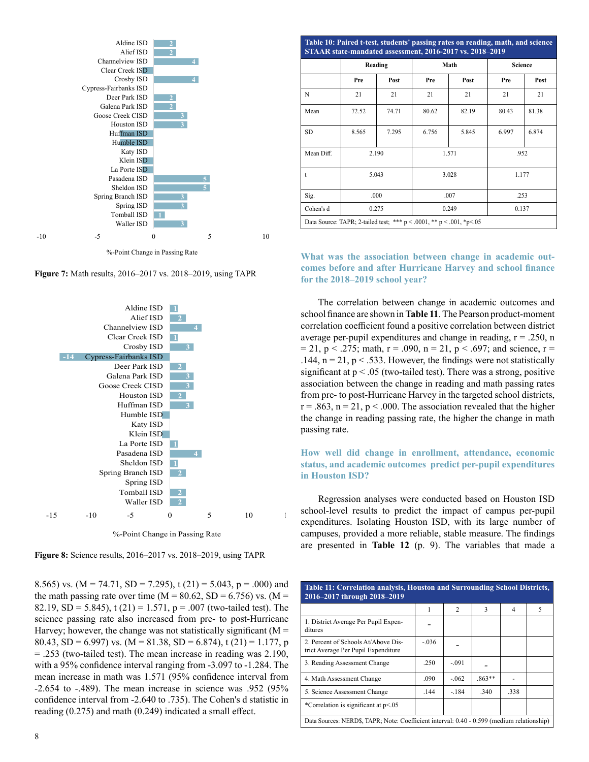

**Figure 7:** Math results, 2016–2017 vs. 2018–2019, using TAPR



%-Point Change in Passing Rate

**Figure 8:** Science results, 2016–2017 vs. 2018–2019, using TAPR

8.565) vs. (M = 74.71, SD = 7.295), t (21) = 5.043, p = .000) and the math passing rate over time ( $M = 80.62$ , SD = 6.756) vs. (M = 82.19, SD = 5.845), t (21) = 1.571, p = .007 (two-tailed test). The science passing rate also increased from pre- to post-Hurricane Harvey; however, the change was not statistically significant ( $M =$ 80.43, SD = 6.997) vs. (M = 81.38, SD = 6.874), t (21) = 1.177, p = .253 (two-tailed test). The mean increase in reading was 2.190, with a 95% confidence interval ranging from -3.097 to -1.284. The mean increase in math was 1.571 (95% confidence interval from -2.654 to -.489). The mean increase in science was .952 (95% confidence interval from -2.640 to .735). The Cohen's d statistic in reading (0.275) and math (0.249) indicated a small effect.

|            | Reading |       |       | Math  |       | <b>Science</b> |  |
|------------|---------|-------|-------|-------|-------|----------------|--|
|            | Pre     | Post  | Pre   | Post  | Pre   | Post           |  |
| N          | 21      | 21    | 21    | 21    | 21    | 21             |  |
| Mean       | 72.52   | 74.71 | 80.62 | 82.19 | 80.43 | 81.38          |  |
| SD.        | 8.565   | 7.295 | 6.756 | 5.845 | 6.997 | 6.874          |  |
| Mean Diff. | 2.190   |       | 1.571 |       | .952  |                |  |
| t          | 5.043   |       |       | 3.028 |       | 1.177          |  |
| Sig.       |         | .000  | .007  |       | .253  |                |  |
| Cohen's d  | 0.275   |       | 0.249 |       | 0.137 |                |  |

## **What was the association between change in academic outcomes before and after Hurricane Harvey and school finance for the 2018–2019 school year?**

The correlation between change in academic outcomes and school finance are shown in **Table 11**. The Pearson product-moment correlation coefficient found a positive correlation between district average per-pupil expenditures and change in reading,  $r = .250$ , n  $= 21$ , p < .275; math, r = .090, n = 21, p < .697; and science, r = .144,  $n = 21$ ,  $p < .533$ . However, the findings were not statistically significant at  $p < 0.05$  (two-tailed test). There was a strong, positive association between the change in reading and math passing rates from pre- to post-Hurricane Harvey in the targeted school districts,  $r = .863$ ,  $n = 21$ ,  $p < .000$ . The association revealed that the higher the change in reading passing rate, the higher the change in math passing rate.

## **How well did change in enrollment, attendance, economic status, and academic outcomes predict per-pupil expenditures in Houston ISD?**

Regression analyses were conducted based on Houston ISD school-level results to predict the impact of campus per-pupil expenditures. Isolating Houston ISD, with its large number of campuses, provided a more reliable, stable measure. The findings are presented in **Table 12** (p. 9). The variables that made a

| Table 11: Correlation analysis, Houston and Surrounding School Districts,<br>2016-2017 through 2018-2019 |         |                |          |      |   |  |
|----------------------------------------------------------------------------------------------------------|---------|----------------|----------|------|---|--|
|                                                                                                          | 1       | $\overline{2}$ | 3        | 4    | 5 |  |
| 1. District Average Per Pupil Expen-<br>ditures                                                          |         |                |          |      |   |  |
| 2. Percent of Schools At/Above Dis-<br>trict Average Per Pupil Expenditure                               | $-.036$ |                |          |      |   |  |
| 3. Reading Assessment Change                                                                             | .250    | $-.091$        |          |      |   |  |
| 4. Math Assessment Change                                                                                | .090    | $-.062$        | $.863**$ |      |   |  |
| 5. Science Assessment Change                                                                             | .144    | $-.184$        | .340     | .338 |   |  |
| *Correlation is significant at p<.05                                                                     |         |                |          |      |   |  |
| Data Sources: NERD\$, TAPR; Note: Coefficient interval: 0.40 - 0.599 (medium relationship)               |         |                |          |      |   |  |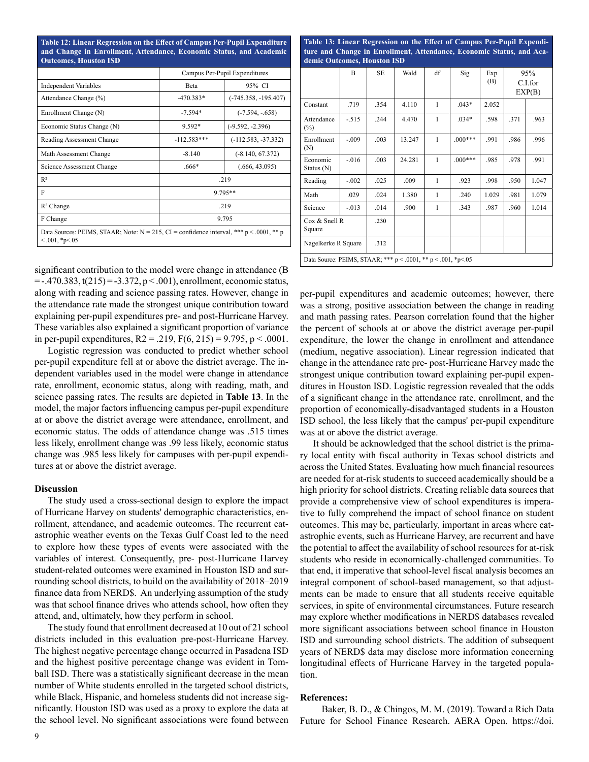**Table 12: Linear Regression on the Effect of Campus Per-Pupil Expenditure and Change in Enrollment, Attendance, Economic Status, and Academic Outcomes, Houston ISD**

|                                                                                                                      |               | Campus Per-Pupil Expenditures |  |  |  |  |
|----------------------------------------------------------------------------------------------------------------------|---------------|-------------------------------|--|--|--|--|
| <b>Independent Variables</b>                                                                                         | <b>Reta</b>   | 95% CI                        |  |  |  |  |
| Attendance Change (%)                                                                                                | $-470.383*$   | $(-745.358, -195.407)$        |  |  |  |  |
| Enrollment Change (N)                                                                                                | $-7.594*$     | $(-7.594, -658)$              |  |  |  |  |
| Economic Status Change (N)                                                                                           | $9.592*$      | $(-9.592, -2.396)$            |  |  |  |  |
| Reading Assessment Change                                                                                            | $-112.583***$ | $(-112.583, -37.332)$         |  |  |  |  |
| Math Assessment Change                                                                                               | $-8.140$      | $(-8.140, 67.372)$            |  |  |  |  |
| Science Assessment Change                                                                                            | .666*         | (.666, 43.095)                |  |  |  |  |
| $R^2$                                                                                                                |               | .219                          |  |  |  |  |
| F                                                                                                                    |               | 9.795**                       |  |  |  |  |
| $R^2$ Change                                                                                                         |               | .219                          |  |  |  |  |
| F Change                                                                                                             | 9.795         |                               |  |  |  |  |
| Data Sources: PEIMS, STAAR; Note: $N = 215$ , CI = confidence interval, *** p < .0001, ** p<br>$< .001$ , *p $< .05$ |               |                               |  |  |  |  |

significant contribution to the model were change in attendance (B  $=$  -.470.383, t(215) = -3.372, p < .001), enrollment, economic status, along with reading and science passing rates. However, change in the attendance rate made the strongest unique contribution toward explaining per-pupil expenditures pre- and post-Hurricane Harvey. These variables also explained a significant proportion of variance in per-pupil expenditures,  $R2 = .219$ ,  $F(6, 215) = 9.795$ ,  $p < .0001$ .

Logistic regression was conducted to predict whether school per-pupil expenditure fell at or above the district average. The independent variables used in the model were change in attendance rate, enrollment, economic status, along with reading, math, and science passing rates. The results are depicted in **Table 13**. In the model, the major factors influencing campus per-pupil expenditure at or above the district average were attendance, enrollment, and economic status. The odds of attendance change was .515 times less likely, enrollment change was .99 less likely, economic status change was .985 less likely for campuses with per-pupil expenditures at or above the district average.

#### **Discussion**

The study used a cross-sectional design to explore the impact of Hurricane Harvey on students' demographic characteristics, enrollment, attendance, and academic outcomes. The recurrent catastrophic weather events on the Texas Gulf Coast led to the need to explore how these types of events were associated with the variables of interest. Consequently, pre- post-Hurricane Harvey student-related outcomes were examined in Houston ISD and surrounding school districts, to build on the availability of 2018–2019 finance data from NERD\$. An underlying assumption of the study was that school finance drives who attends school, how often they attend, and, ultimately, how they perform in school.

The study found that enrollment decreased at 10 out of 21 school districts included in this evaluation pre-post-Hurricane Harvey. The highest negative percentage change occurred in Pasadena ISD and the highest positive percentage change was evident in Tomball ISD. There was a statistically significant decrease in the mean number of White students enrolled in the targeted school districts, while Black, Hispanic, and homeless students did not increase significantly. Houston ISD was used as a proxy to explore the data at the school level. No significant associations were found between **Table 13: Linear Regression on the Effect of Campus Per-Pupil Expenditure and Change in Enrollment, Attendance, Economic Status, and Academic Outcomes, Houston ISD**

|                                                               | B        | <b>SE</b> | Wald   | df           | Sig       | Exp<br>(B) |      | 95%<br>C.I.for<br>EXP(B) |
|---------------------------------------------------------------|----------|-----------|--------|--------------|-----------|------------|------|--------------------------|
| Constant                                                      | .719     | .354      | 4.110  | 1            | $.043*$   | 2.052      |      |                          |
| Attendance<br>$(\%)$                                          | $-.515$  | .244      | 4.470  | 1            | $.034*$   | .598       | .371 | .963                     |
| Enrollment<br>(N)                                             | $-.009$  | .003      | 13.247 | 1            | $.000***$ | .991       | .986 | .996                     |
| Economic<br>Status $(N)$                                      | $-.016$  | .003      | 24.281 | 1            | $.000***$ | .985       | .978 | .991                     |
| Reading                                                       | $-.002$  | .025      | .009   | 1            | .923      | .998       | .950 | 1.047                    |
| Math                                                          | .029     | .024      | 1.380  | $\mathbf{1}$ | .240      | 1.029      | .981 | 1.079                    |
| Science                                                       | $-0.013$ | .014      | .900   | 1            | .343      | .987       | .960 | 1.014                    |
| Cox & Snell R<br>Square                                       |          | .230      |        |              |           |            |      |                          |
| Nagelkerke R Square                                           |          | .312      |        |              |           |            |      |                          |
| Data Source: PEIMS, STAAR; *** p < .0001, ** p < .001, *p<.05 |          |           |        |              |           |            |      |                          |

per-pupil expenditures and academic outcomes; however, there was a strong, positive association between the change in reading and math passing rates. Pearson correlation found that the higher the percent of schools at or above the district average per-pupil expenditure, the lower the change in enrollment and attendance (medium, negative association). Linear regression indicated that change in the attendance rate pre- post-Hurricane Harvey made the strongest unique contribution toward explaining per-pupil expenditures in Houston ISD. Logistic regression revealed that the odds of a significant change in the attendance rate, enrollment, and the proportion of economically-disadvantaged students in a Houston ISD school, the less likely that the campus' per-pupil expenditure was at or above the district average.

It should be acknowledged that the school district is the primary local entity with fiscal authority in Texas school districts and across the United States. Evaluating how much financial resources are needed for at-risk students to succeed academically should be a high priority for school districts. Creating reliable data sources that provide a comprehensive view of school expenditures is imperative to fully comprehend the impact of school finance on student outcomes. This may be, particularly, important in areas where catastrophic events, such as Hurricane Harvey, are recurrent and have the potential to affect the availability of school resources for at-risk students who reside in economically-challenged communities. To that end, it imperative that school-level fiscal analysis becomes an integral component of school-based management, so that adjustments can be made to ensure that all students receive equitable services, in spite of environmental circumstances. Future research may explore whether modifications in NERD\$ databases revealed more significant associations between school finance in Houston ISD and surrounding school districts. The addition of subsequent years of NERD\$ data may disclose more information concerning longitudinal effects of Hurricane Harvey in the targeted population.

#### **References:**

Baker, B. D., & Chingos, M. M. (2019). Toward a Rich Data Future for School Finance Research. AERA Open. https://doi.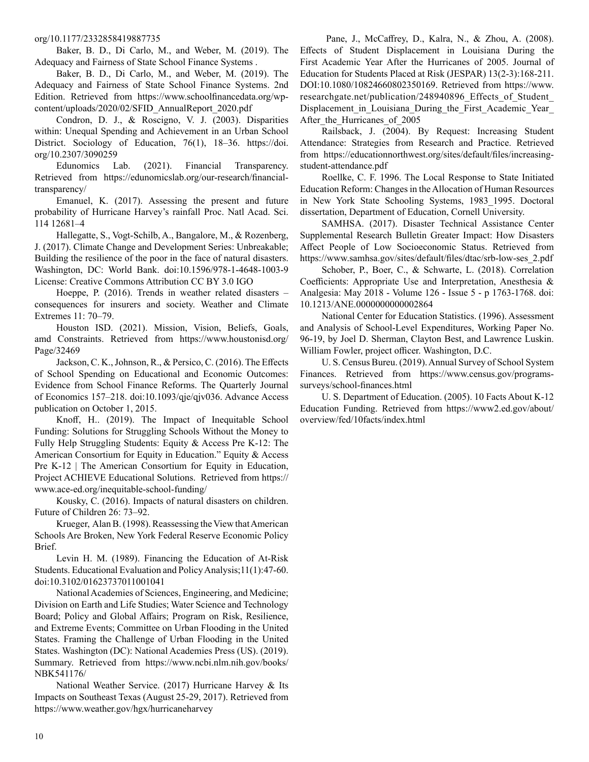#### org/10.1177/2332858419887735

Baker, B. D., Di Carlo, M., and Weber, M. (2019). The Adequacy and Fairness of State School Finance Systems .

Baker, B. D., Di Carlo, M., and Weber, M. (2019). The Adequacy and Fairness of State School Finance Systems. 2nd Edition. Retrieved from https://www.schoolfinancedata.org/wpcontent/uploads/2020/02/SFID\_AnnualReport\_2020.pdf

Condron, D. J., & Roscigno, V. J. (2003). Disparities within: Unequal Spending and Achievement in an Urban School District. Sociology of Education, 76(1), 18–36. https://doi. org/10.2307/3090259

Edunomics Lab. (2021). Financial Transparency. Retrieved from https://edunomicslab.org/our-research/financialtransparency/

Emanuel, K. (2017). Assessing the present and future probability of Hurricane Harvey's rainfall Proc. Natl Acad. Sci. 114 12681–4

Hallegatte, S., Vogt-Schilb, A., Bangalore, M., & Rozenberg, J. (2017). Climate Change and Development Series: Unbreakable; Building the resilience of the poor in the face of natural disasters. Washington, DC: World Bank. doi:10.1596/978-1-4648-1003-9 License: Creative Commons Attribution CC BY 3.0 IGO

Hoeppe, P. (2016). Trends in weather related disasters – consequences for insurers and society. Weather and Climate Extremes 11: 70–79.

Houston ISD. (2021). Mission, Vision, Beliefs, Goals, amd Constraints. Retrieved from https://www.houstonisd.org/ Page/32469

Jackson, C. K., Johnson, R., & Persico, C. (2016). The Effects of School Spending on Educational and Economic Outcomes: Evidence from School Finance Reforms. The Quarterly Journal of Economics 157–218. doi:10.1093/qje/qjv036. Advance Access publication on October 1, 2015.

Knoff, H.. (2019). The Impact of Inequitable School Funding: Solutions for Struggling Schools Without the Money to Fully Help Struggling Students: Equity & Access Pre K-12: The American Consortium for Equity in Education." Equity & Access Pre K-12 | The American Consortium for Equity in Education, Project ACHIEVE Educational Solutions. Retrieved from https:// www.ace-ed.org/inequitable-school-funding/

Kousky, C. (2016). Impacts of natural disasters on children. Future of Children 26: 73–92.

Krueger, Alan B. (1998). Reassessing the View that American Schools Are Broken, New York Federal Reserve Economic Policy Brief.

Levin H. M. (1989). Financing the Education of At-Risk Students. Educational Evaluation and Policy Analysis;11(1):47-60. doi:10.3102/01623737011001041

National Academies of Sciences, Engineering, and Medicine; Division on Earth and Life Studies; Water Science and Technology Board; Policy and Global Affairs; Program on Risk, Resilience, and Extreme Events; Committee on Urban Flooding in the United States. Framing the Challenge of Urban Flooding in the United States. Washington (DC): National Academies Press (US). (2019). Summary. Retrieved from https://www.ncbi.nlm.nih.gov/books/ NBK541176/

National Weather Service. (2017) Hurricane Harvey & Its Impacts on Southeast Texas (August 25-29, 2017). Retrieved from https://www.weather.gov/hgx/hurricaneharvey

 Pane, J., McCaffrey, D., Kalra, N., & Zhou, A. (2008). Effects of Student Displacement in Louisiana During the First Academic Year After the Hurricanes of 2005. Journal of Education for Students Placed at Risk (JESPAR) 13(2-3):168-211. DOI:10.1080/10824660802350169. Retrieved from https://www. researchgate.net/publication/248940896\_Effects\_of\_Student\_ Displacement in Louisiana During the First Academic Year After the Hurricanes of 2005

Railsback, J. (2004). By Request: Increasing Student Attendance: Strategies from Research and Practice. Retrieved from https://educationnorthwest.org/sites/default/files/increasingstudent-attendance.pdf

Roellke, C. F. 1996. The Local Response to State Initiated Education Reform: Changes in the Allocation of Human Resources in New York State Schooling Systems, 1983\_1995. Doctoral dissertation, Department of Education, Cornell University.

SAMHSA. (2017). Disaster Technical Assistance Center Supplemental Research Bulletin Greater Impact: How Disasters Affect People of Low Socioeconomic Status. Retrieved from https://www.samhsa.gov/sites/default/files/dtac/srb-low-ses\_2.pdf

Schober, P., Boer, C., & Schwarte, L. (2018). Correlation Coefficients: Appropriate Use and Interpretation, Anesthesia & Analgesia: May 2018 - Volume 126 - Issue 5 - p 1763-1768. doi: 10.1213/ANE.0000000000002864

National Center for Education Statistics. (1996). Assessment and Analysis of School-Level Expenditures, Working Paper No. 96-19, by Joel D. Sherman, Clayton Best, and Lawrence Luskin. William Fowler, project officer. Washington, D.C.

U. S. Census Bureu. (2019). Annual Survey of School System Finances. Retrieved from https://www.census.gov/programssurveys/school-finances.html

U. S. Department of Education. (2005). 10 Facts About K-12 Education Funding. Retrieved from https://www2.ed.gov/about/ overview/fed/10facts/index.html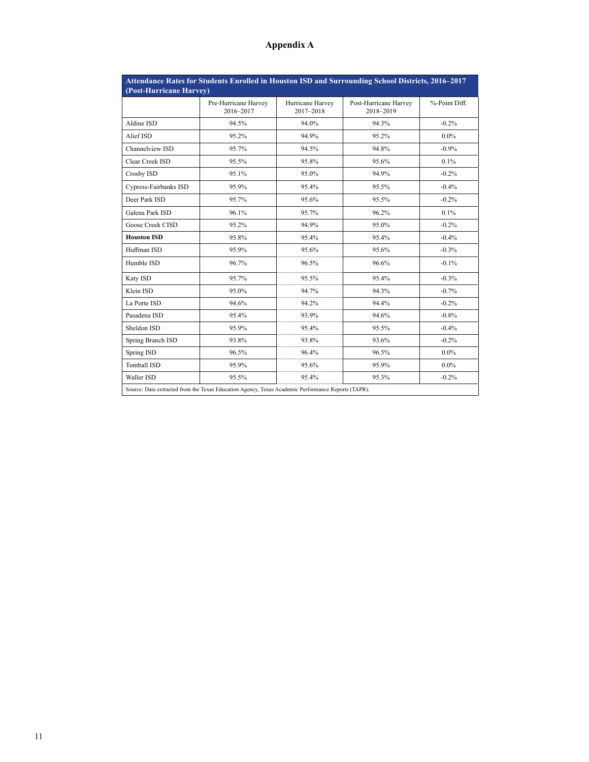# **Appendix A**

| Attendance Rates for Students Enrolled in Houston ISD and Surrounding School Districts, 2016-2017<br>(Post-Hurricane Harvey) |                                   |                               |                                    |               |  |  |  |  |
|------------------------------------------------------------------------------------------------------------------------------|-----------------------------------|-------------------------------|------------------------------------|---------------|--|--|--|--|
|                                                                                                                              | Pre-Hurricane Harvey<br>2016-2017 | Hurricane Harvey<br>2017-2018 | Post-Hurricane Harvey<br>2018-2019 | %-Point Diff. |  |  |  |  |
| Aldine ISD                                                                                                                   | 94.5%                             | 94.0%                         | 94.3%                              | $-0.2%$       |  |  |  |  |
| Alief ISD                                                                                                                    | 95.2%                             | 94.9%                         | 95.2%                              | $0.0\%$       |  |  |  |  |
| Channelview ISD                                                                                                              | 95.7%                             | 94.5%                         | 94.8%                              | $-0.9%$       |  |  |  |  |
| Clear Creek ISD                                                                                                              | 95.5%                             | 95.8%                         | 95.6%                              | 0.1%          |  |  |  |  |
| Crosby ISD                                                                                                                   | 95.1%                             | 95.0%                         | 94.9%                              | $-0.2\%$      |  |  |  |  |
| Cypress-Fairbanks ISD                                                                                                        | 95.9%                             | 95.4%                         | 95.5%                              | $-0.4\%$      |  |  |  |  |
| Deer Park ISD                                                                                                                | 95.7%                             | 95.6%                         | 95.5%                              | $-0.2\%$      |  |  |  |  |
| Galena Park ISD                                                                                                              | 96.1%                             | 95.7%                         | 96.2%                              | $0.1\%$       |  |  |  |  |
| Goose Creek CISD                                                                                                             | 95.2%                             | 94.9%                         | 95.0%                              | $-0.2\%$      |  |  |  |  |
| <b>Houston ISD</b>                                                                                                           | 95.8%                             | 95.4%                         | 95.4%                              | $-0.4%$       |  |  |  |  |
| Huffman ISD                                                                                                                  | 95.9%                             | 95.6%                         | 95.6%                              | $-0.3%$       |  |  |  |  |
| Humble ISD                                                                                                                   | 96.7%                             | 96.5%                         | 96.6%                              | $-0.1%$       |  |  |  |  |
| Katy ISD                                                                                                                     | 95.7%                             | 95.5%                         | 95.4%                              | $-0.3%$       |  |  |  |  |
| Klein ISD                                                                                                                    | 95.0%                             | 94.7%                         | 94.3%                              | $-0.7%$       |  |  |  |  |
| La Porte ISD                                                                                                                 | 94.6%                             | 94.2%                         | 94.4%                              | $-0.2%$       |  |  |  |  |
| Pasadena ISD                                                                                                                 | 95.4%                             | 93.9%                         | 94.6%                              | $-0.8%$       |  |  |  |  |
| Sheldon ISD                                                                                                                  | 95.9%                             | 95.4%                         | 95.5%                              | $-0.4%$       |  |  |  |  |
| Spring Branch ISD                                                                                                            | 93.8%                             | 93.8%                         | 93.6%                              | $-0.2\%$      |  |  |  |  |
| Spring ISD                                                                                                                   | 96.5%                             | 96.4%                         | 96.5%                              | $0.0\%$       |  |  |  |  |
| <b>Tomball ISD</b>                                                                                                           | 95.9%                             | 95.6%                         | 95.9%                              | $0.0\%$       |  |  |  |  |
| Waller ISD                                                                                                                   | 95.5%                             | 95.4%                         | 95.3%                              | $-0.2\%$      |  |  |  |  |
| Source: Data extracted from the Texas Education Agency, Texas Academic Performance Reports (TAPR).                           |                                   |                               |                                    |               |  |  |  |  |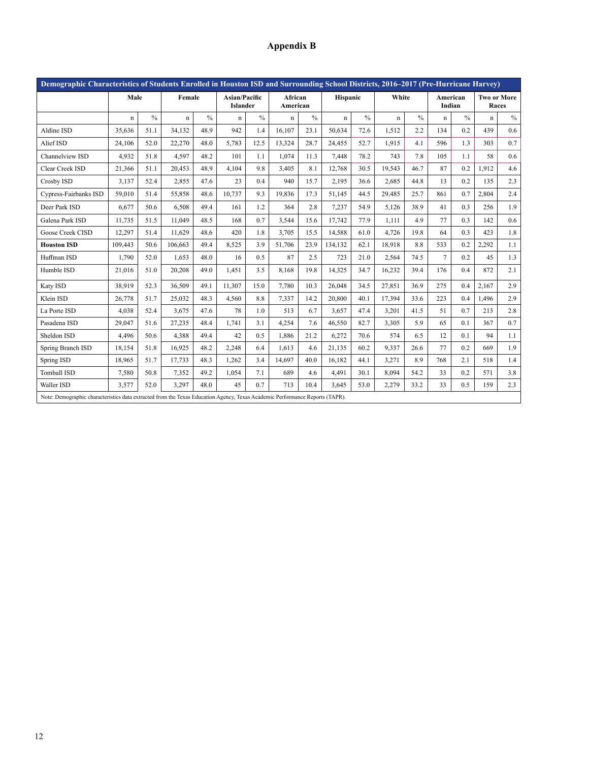# **Appendix B**

| Demographic Characteristics of Students Enrolled in Houston ISD and Surrounding School Districts, 2016–2017 (Pre-Hurricane Harvey) |             |               |             |               |             |                                                                |             |               |             |               |             |               |                    |               |                             |               |
|------------------------------------------------------------------------------------------------------------------------------------|-------------|---------------|-------------|---------------|-------------|----------------------------------------------------------------|-------------|---------------|-------------|---------------|-------------|---------------|--------------------|---------------|-----------------------------|---------------|
|                                                                                                                                    | Male        |               | Female      |               |             | <b>Asian/Pacific</b><br>African<br><b>Islander</b><br>American |             |               | Hispanic    |               | White       |               | American<br>Indian |               | <b>Two or More</b><br>Races |               |
|                                                                                                                                    | $\mathbf n$ | $\frac{0}{0}$ | $\mathbf n$ | $\frac{0}{0}$ | $\mathbf n$ | $\frac{0}{0}$                                                  | $\mathbf n$ | $\frac{0}{0}$ | $\mathbf n$ | $\frac{0}{0}$ | $\mathbf n$ | $\frac{0}{0}$ | $\mathbf n$        | $\frac{0}{0}$ | $\mathbf n$                 | $\frac{0}{0}$ |
| Aldine ISD                                                                                                                         | 35,636      | 51.1          | 34,132      | 48.9          | 942         | 1.4                                                            | 16,107      | 23.1          | 50,634      | 72.6          | 1,512       | 2.2           | 134                | 0.2           | 439                         | 0.6           |
| Alief ISD                                                                                                                          | 24,106      | 52.0          | 22,270      | 48.0          | 5,783       | 12.5                                                           | 13,324      | 28.7          | 24,455      | 52.7          | 1,915       | 4.1           | 596                | 1.3           | 303                         | 0.7           |
| Channelview ISD                                                                                                                    | 4,932       | 51.8          | 4,597       | 48.2          | 101         | 1.1                                                            | 1.074       | 11.3          | 7,448       | 78.2          | 743         | 7.8           | 105                | 1.1           | 58                          | 0.6           |
| Clear Creek ISD                                                                                                                    | 21,366      | 51.1          | 20,453      | 48.9          | 4,104       | 9.8                                                            | 3,405       | 8.1           | 12,768      | 30.5          | 19,543      | 46.7          | 87                 | 0.2           | 1.912                       | 4.6           |
| Crosby ISD                                                                                                                         | 3,137       | 52.4          | 2,855       | 47.6          | 23          | 0.4                                                            | 940         | 15.7          | 2,195       | 36.6          | 2,685       | 44.8          | 13                 | 0.2           | 135                         | 2.3           |
| Cypress-Fairbanks ISD                                                                                                              | 59,010      | 51.4          | 55,858      | 48.6          | 10,737      | 9.3                                                            | 19,836      | 17.3          | 51,145      | 44.5          | 29,485      | 25.7          | 861                | 0.7           | 2,804                       | 2.4           |
| Deer Park ISD                                                                                                                      | 6,677       | 50.6          | 6,508       | 49.4          | 161         | 1.2                                                            | 364         | 2.8           | 7,237       | 54.9          | 5,126       | 38.9          | 41                 | 0.3           | 256                         | 1.9           |
| Galena Park ISD                                                                                                                    | 11,735      | 51.5          | 11.049      | 48.5          | 168         | 0.7                                                            | 3,544       | 15.6          | 17,742      | 77.9          | 1,111       | 4.9           | 77                 | 0.3           | 142                         | 0.6           |
| Goose Creek CISD                                                                                                                   | 12,297      | 51.4          | 11,629      | 48.6          | 420         | 1.8                                                            | 3,705       | 15.5          | 14,588      | 61.0          | 4,726       | 19.8          | 64                 | 0.3           | 423                         | 1.8           |
| <b>Houston ISD</b>                                                                                                                 | 109,443     | 50.6          | 106.663     | 49.4          | 8,525       | 3.9                                                            | 51,706      | 23.9          | 134,132     | 62.1          | 18,918      | 8.8           | 533                | 0.2           | 2,292                       | 1.1           |
| Huffman ISD                                                                                                                        | 1,790       | 52.0          | 1,653       | 48.0          | 16          | 0.5                                                            | 87          | 2.5           | 723         | 21.0          | 2,564       | 74.5          | $7\phantom{.0}$    | 0.2           | 45                          | 1.3           |
| Humble ISD                                                                                                                         | 21,016      | 51.0          | 20,208      | 49.0          | 1,451       | 3.5                                                            | 8,168       | 19.8          | 14,325      | 34.7          | 16,232      | 39.4          | 176                | 0.4           | 872                         | 2.1           |
| Katy ISD                                                                                                                           | 38,919      | 52.3          | 36,509      | 49.1          | 11,307      | 15.0                                                           | 7,780       | 10.3          | 26,048      | 34.5          | 27,851      | 36.9          | 275                | 0.4           | 2,167                       | 2.9           |
| Klein ISD                                                                                                                          | 26,778      | 51.7          | 25,032      | 48.3          | 4,560       | 8.8                                                            | 7,337       | 14.2          | 20,800      | 40.1          | 17,394      | 33.6          | 223                | 0.4           | 1,496                       | 2.9           |
| La Porte ISD                                                                                                                       | 4,038       | 52.4          | 3,675       | 47.6          | 78          | 1.0                                                            | 513         | 6.7           | 3,657       | 47.4          | 3,201       | 41.5          | 51                 | 0.7           | 213                         | 2.8           |
| Pasadena ISD                                                                                                                       | 29,047      | 51.6          | 27,235      | 48.4          | 1,741       | 3.1                                                            | 4,254       | 7.6           | 46,550      | 82.7          | 3,305       | 5.9           | 65                 | 0.1           | 367                         | 0.7           |
| Sheldon ISD                                                                                                                        | 4,496       | 50.6          | 4,388       | 49.4          | 42          | 0.5                                                            | 1,886       | 21.2          | 6,272       | 70.6          | 574         | 6.5           | 12                 | 0.1           | 94                          | 1.1           |
| Spring Branch ISD                                                                                                                  | 18,154      | 51.8          | 16,925      | 48.2          | 2,248       | 6.4                                                            | 1.613       | 4.6           | 21,135      | 60.2          | 9,337       | 26.6          | 77                 | 0.2           | 669                         | 1.9           |
| Spring ISD                                                                                                                         | 18,965      | 51.7          | 17,733      | 48.3          | 1,262       | 3.4                                                            | 14,697      | 40.0          | 16.182      | 44.1          | 3,271       | 8.9           | 768                | 2.1           | 518                         | 1.4           |
| <b>Tomball ISD</b>                                                                                                                 | 7,580       | 50.8          | 7,352       | 49.2          | 1,054       | 7.1                                                            | 689         | 4.6           | 4,491       | 30.1          | 8,094       | 54.2          | 33                 | 0.2           | 571                         | 3.8           |
| Waller ISD                                                                                                                         | 3,577       | 52.0          | 3,297       | 48.0          | 45          | 0.7                                                            | 713         | 10.4          | 3,645       | 53.0          | 2,279       | 33.2          | 33                 | 0.5           | 159                         | 2.3           |
| Note: Demographic characteristics data extracted from the Texas Education Agency, Texas Academic Performance Reports (TAPR).       |             |               |             |               |             |                                                                |             |               |             |               |             |               |                    |               |                             |               |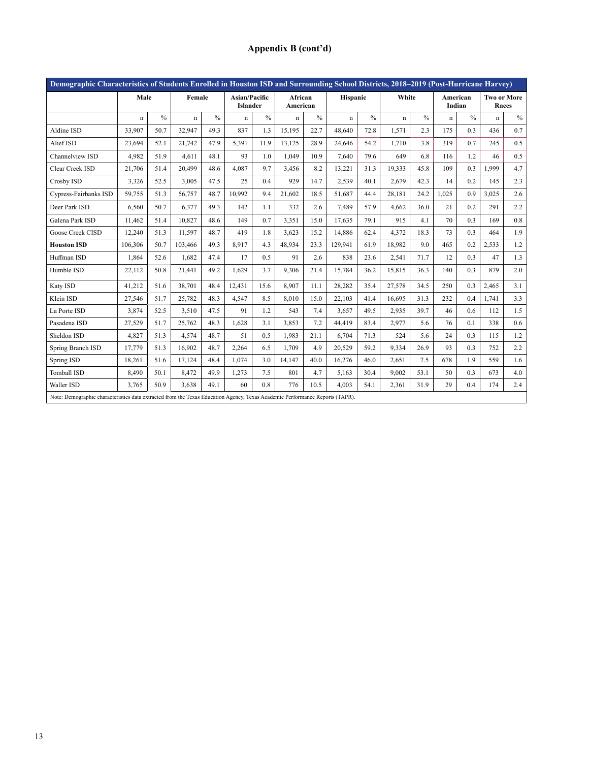# **Appendix B (cont'd)**

| Demographic Characteristics of Students Enrolled in Houston ISD and Surrounding School Districts, 2018-2019 (Post-Hurricane Harvey) |             |               |                                                                                                                              |               |                                  |               |                     |               |             |               |             |               |                    |               |                             |      |
|-------------------------------------------------------------------------------------------------------------------------------------|-------------|---------------|------------------------------------------------------------------------------------------------------------------------------|---------------|----------------------------------|---------------|---------------------|---------------|-------------|---------------|-------------|---------------|--------------------|---------------|-----------------------------|------|
|                                                                                                                                     | Male        |               | Female                                                                                                                       |               | Asian/Pacific<br><b>Islander</b> |               | African<br>American |               | Hispanic    |               | White       |               | American<br>Indian |               | <b>Two or More</b><br>Races |      |
|                                                                                                                                     | $\mathbf n$ | $\frac{0}{0}$ | $\mathbf n$                                                                                                                  | $\frac{0}{0}$ | $\mathbf n$                      | $\frac{0}{0}$ | $\mathbf n$         | $\frac{0}{0}$ | $\mathbf n$ | $\frac{0}{0}$ | $\mathbf n$ | $\frac{0}{0}$ | $\mathbf n$        | $\frac{0}{0}$ | $\mathbf n$                 | $\%$ |
| Aldine ISD                                                                                                                          | 33.907      | 50.7          | 32,947                                                                                                                       | 49.3          | 837                              | 1.3           | 15.195              | 22.7          | 48,640      | 72.8          | 1.571       | 2.3           | 175                | 0.3           | 436                         | 0.7  |
| Alief ISD                                                                                                                           | 23.694      | 52.1          | 21.742                                                                                                                       | 47.9          | 5,391                            | 11.9          | 13.125              | 28.9          | 24.646      | 54.2          | 1.710       | 3.8           | 319                | 0.7           | 245                         | 0.5  |
| Channelview ISD                                                                                                                     | 4,982       | 51.9          | 4,611                                                                                                                        | 48.1          | 93                               | 1.0           | 1,049               | 10.9          | 7,640       | 79.6          | 649         | 6.8           | 116                | 1.2           | 46                          | 0.5  |
| Clear Creek ISD                                                                                                                     | 21,706      | 51.4          | 20.499                                                                                                                       | 48.6          | 4.087                            | 9.7           | 3,456               | 8.2           | 13,221      | 31.3          | 19,333      | 45.8          | 109                | 0.3           | 1.999                       | 4.7  |
| Crosby ISD                                                                                                                          | 3,326       | 52.5          | 3,005                                                                                                                        | 47.5          | 25                               | 0.4           | 929                 | 14.7          | 2,539       | 40.1          | 2,679       | 42.3          | 14                 | 0.2           | 145                         | 2.3  |
| Cypress-Fairbanks ISD                                                                                                               | 59,755      | 51.3          | 56,757                                                                                                                       | 48.7          | 10,992                           | 9.4           | 21,602              | 18.5          | 51,687      | 44.4          | 28,181      | 24.2          | 1,025              | 0.9           | 3,025                       | 2.6  |
| Deer Park ISD                                                                                                                       | 6,560       | 50.7          | 6,377                                                                                                                        | 49.3          | 142                              | 1.1           | 332                 | 2.6           | 7,489       | 57.9          | 4,662       | 36.0          | 21                 | 0.2           | 291                         | 2.2  |
| Galena Park ISD                                                                                                                     | 11,462      | 51.4          | 10,827                                                                                                                       | 48.6          | 149                              | 0.7           | 3,351               | 15.0          | 17,635      | 79.1          | 915         | 4.1           | 70                 | 0.3           | 169                         | 0.8  |
| Goose Creek CISD                                                                                                                    | 12,240      | 51.3          | 11,597                                                                                                                       | 48.7          | 419                              | 1.8           | 3,623               | 15.2          | 14.886      | 62.4          | 4.372       | 18.3          | 73                 | 0.3           | 464                         | 1.9  |
| <b>Houston ISD</b>                                                                                                                  | 106,306     | 50.7          | 103,466                                                                                                                      | 49.3          | 8.917                            | 4.3           | 48.934              | 23.3          | 129.941     | 61.9          | 18.982      | 9.0           | 465                | 0.2           | 2,533                       | 1.2  |
| Huffman ISD                                                                                                                         | 1,864       | 52.6          | 1,682                                                                                                                        | 47.4          | 17                               | 0.5           | 91                  | 2.6           | 838         | 23.6          | 2,541       | 71.7          | 12                 | 0.3           | 47                          | 1.3  |
| Humble ISD                                                                                                                          | 22,112      | 50.8          | 21,441                                                                                                                       | 49.2          | 1,629                            | 3.7           | 9,306               | 21.4          | 15,784      | 36.2          | 15,815      | 36.3          | 140                | 0.3           | 879                         | 2.0  |
| Katy ISD                                                                                                                            | 41,212      | 51.6          | 38.701                                                                                                                       | 48.4          | 12.431                           | 15.6          | 8.907               | 11.1          | 28,282      | 35.4          | 27.578      | 34.5          | 250                | 0.3           | 2.465                       | 3.1  |
| Klein ISD                                                                                                                           | 27,546      | 51.7          | 25,782                                                                                                                       | 48.3          | 4,547                            | 8.5           | 8,010               | 15.0          | 22,103      | 41.4          | 16,695      | 31.3          | 232                | 0.4           | 1,741                       | 3.3  |
| La Porte ISD                                                                                                                        | 3,874       | 52.5          | 3,510                                                                                                                        | 47.5          | 91                               | 1.2           | 543                 | 7.4           | 3,657       | 49.5          | 2,935       | 39.7          | 46                 | 0.6           | 112                         | 1.5  |
| Pasadena ISD                                                                                                                        | 27,529      | 51.7          | 25,762                                                                                                                       | 48.3          | 1,628                            | 3.1           | 3,853               | 7.2           | 44,419      | 83.4          | 2,977       | 5.6           | 76                 | 0.1           | 338                         | 0.6  |
| Sheldon ISD                                                                                                                         | 4,827       | 51.3          | 4,574                                                                                                                        | 48.7          | 51                               | 0.5           | 1,983               | 21.1          | 6,704       | 71.3          | 524         | 5.6           | 24                 | 0.3           | 115                         | 1.2  |
| Spring Branch ISD                                                                                                                   | 17.779      | 51.3          | 16.902                                                                                                                       | 48.7          | 2,264                            | 6.5           | 1.709               | 4.9           | 20,529      | 59.2          | 9,334       | 26.9          | 93                 | 0.3           | 752                         | 2.2  |
| Spring ISD                                                                                                                          | 18,261      | 51.6          | 17,124                                                                                                                       | 48.4          | 1.074                            | 3.0           | 14,147              | 40.0          | 16,276      | 46.0          | 2,651       | 7.5           | 678                | 1.9           | 559                         | 1.6  |
| Tomball ISD                                                                                                                         | 8,490       | 50.1          | 8,472                                                                                                                        | 49.9          | 1,273                            | 7.5           | 801                 | 4.7           | 5,163       | 30.4          | 9,002       | 53.1          | 50                 | 0.3           | 673                         | 4.0  |
| Waller ISD                                                                                                                          | 3,765       | 50.9          | 3.638                                                                                                                        | 49.1          | 60                               | 0.8           | 776                 | 10.5          | 4.003       | 54.1          | 2,361       | 31.9          | 29                 | 0.4           | 174                         | 2.4  |
|                                                                                                                                     |             |               | Note: Demographic characteristics data extracted from the Texas Education Agency, Texas Academic Performance Reports (TAPR). |               |                                  |               |                     |               |             |               |             |               |                    |               |                             |      |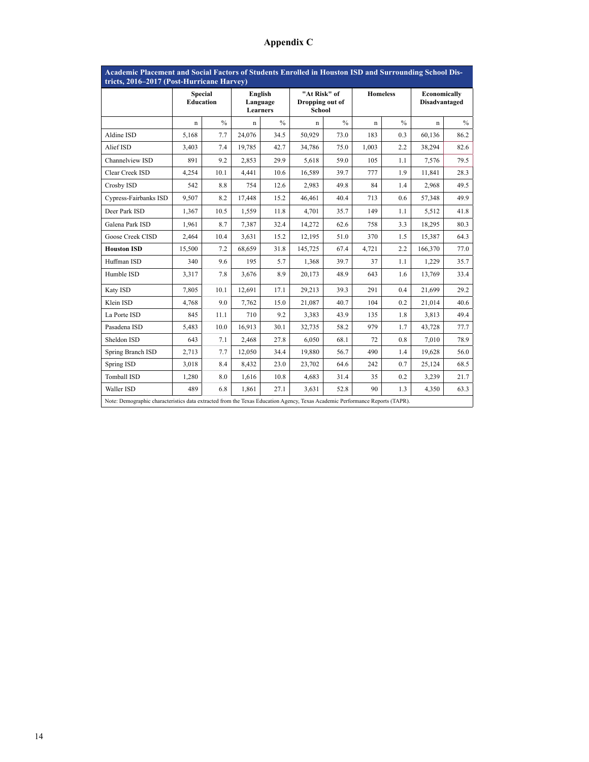| Academic Placement and Social Factors of Students Enrolled in Houston ISD and Surrounding School Dis-                        |                                    |               |                                        |               |                                                  |               |                 |               |                                      |      |  |  |
|------------------------------------------------------------------------------------------------------------------------------|------------------------------------|---------------|----------------------------------------|---------------|--------------------------------------------------|---------------|-----------------|---------------|--------------------------------------|------|--|--|
| tricts, 2016–2017 (Post-Hurricane Harvey)                                                                                    |                                    |               |                                        |               |                                                  |               |                 |               |                                      |      |  |  |
|                                                                                                                              | <b>Special</b><br><b>Education</b> |               | English<br>Language<br><b>Learners</b> |               | "At Risk" of<br>Dropping out of<br><b>School</b> |               | <b>Homeless</b> |               | Economically<br><b>Disadvantaged</b> |      |  |  |
|                                                                                                                              | $\mathbf n$                        | $\frac{0}{0}$ | $\mathbf n$                            | $\frac{0}{0}$ | $\mathbf n$                                      | $\frac{0}{0}$ | $\mathbf n$     | $\frac{0}{0}$ | $\mathbf n$                          | $\%$ |  |  |
| Aldine ISD                                                                                                                   | 5,168                              | 7.7           | 24,076                                 | 34.5          | 50,929                                           | 73.0          | 183             | 0.3           | 60,136                               | 86.2 |  |  |
| Alief ISD                                                                                                                    | 3.403                              | 7.4           | 19.785                                 | 42.7          | 34,786                                           | 75.0          | 1.003           | 2.2           | 38,294                               | 82.6 |  |  |
| Channelview ISD                                                                                                              | 891                                | 9.2           | 2.853                                  | 29.9          | 5,618                                            | 59.0          | 105             | 1.1           | 7,576                                | 79.5 |  |  |
| Clear Creek ISD                                                                                                              | 4,254                              | 10.1          | 4,441                                  | 10.6          | 16,589                                           | 39.7          | 777             | 1.9           | 11,841                               | 28.3 |  |  |
| Crosby ISD                                                                                                                   | 542                                | 8.8           | 754                                    | 12.6          | 2,983                                            | 49.8          | 84              | 1.4           | 2,968                                | 49.5 |  |  |
| Cypress-Fairbanks ISD                                                                                                        | 9,507                              | 8.2           | 17,448                                 | 15.2          | 46,461                                           | 40.4          | 713             | 0.6           | 57,348                               | 49.9 |  |  |
| Deer Park ISD                                                                                                                | 1,367                              | 10.5          | 1,559                                  | 11.8          | 4,701                                            | 35.7          | 149             | 1.1           | 5,512                                | 41.8 |  |  |
| Galena Park ISD                                                                                                              | 1,961                              | 8.7           | 7,387                                  | 32.4          | 14,272                                           | 62.6          | 758             | 3.3           | 18,295                               | 80.3 |  |  |
| Goose Creek CISD                                                                                                             | 2,464                              | 10.4          | 3,631                                  | 15.2          | 12,195                                           | 51.0          | 370             | 1.5           | 15,387                               | 64.3 |  |  |
| <b>Houston ISD</b>                                                                                                           | 15,500                             | 7.2           | 68,659                                 | 31.8          | 145,725                                          | 67.4          | 4,721           | 2.2           | 166,370                              | 77.0 |  |  |
| Huffman ISD                                                                                                                  | 340                                | 9.6           | 195                                    | 5.7           | 1,368                                            | 39.7          | 37              | 1.1           | 1,229                                | 35.7 |  |  |
| Humble ISD                                                                                                                   | 3.317                              | 7.8           | 3.676                                  | 8.9           | 20.173                                           | 48.9          | 643             | 1.6           | 13.769                               | 33.4 |  |  |
| Katy ISD                                                                                                                     | 7,805                              | 10.1          | 12,691                                 | 17.1          | 29,213                                           | 39.3          | 291             | 0.4           | 21.699                               | 29.2 |  |  |
| Klein ISD                                                                                                                    | 4.768                              | 9.0           | 7,762                                  | 15.0          | 21,087                                           | 40.7          | 104             | 0.2           | 21,014                               | 40.6 |  |  |
| La Porte ISD                                                                                                                 | 845                                | 11.1          | 710                                    | 9.2           | 3,383                                            | 43.9          | 135             | 1.8           | 3,813                                | 49.4 |  |  |
| Pasadena ISD                                                                                                                 | 5,483                              | 10.0          | 16,913                                 | 30.1          | 32,735                                           | 58.2          | 979             | 1.7           | 43,728                               | 77.7 |  |  |
| Sheldon ISD                                                                                                                  | 643                                | 7.1           | 2,468                                  | 27.8          | 6,050                                            | 68.1          | 72              | 0.8           | 7,010                                | 78.9 |  |  |
| Spring Branch ISD                                                                                                            | 2,713                              | 7.7           | 12.050                                 | 34.4          | 19.880                                           | 56.7          | 490             | 1.4           | 19.628                               | 56.0 |  |  |
| Spring ISD                                                                                                                   | 3,018                              | 8.4           | 8,432                                  | 23.0          | 23,702                                           | 64.6          | 242             | 0.7           | 25,124                               | 68.5 |  |  |
| <b>Tomball ISD</b>                                                                                                           | 1,280                              | 8.0           | 1,616                                  | 10.8          | 4,683                                            | 31.4          | 35              | 0.2           | 3,239                                | 21.7 |  |  |
| Waller ISD                                                                                                                   | 489                                | 6.8           | 1,861                                  | 27.1          | 3,631                                            | 52.8          | 90              | 1.3           | 4,350                                | 63.3 |  |  |
| Note: Demographic characteristics data extracted from the Texas Education Agency, Texas Academic Performance Reports (TAPR). |                                    |               |                                        |               |                                                  |               |                 |               |                                      |      |  |  |

# **Appendix C**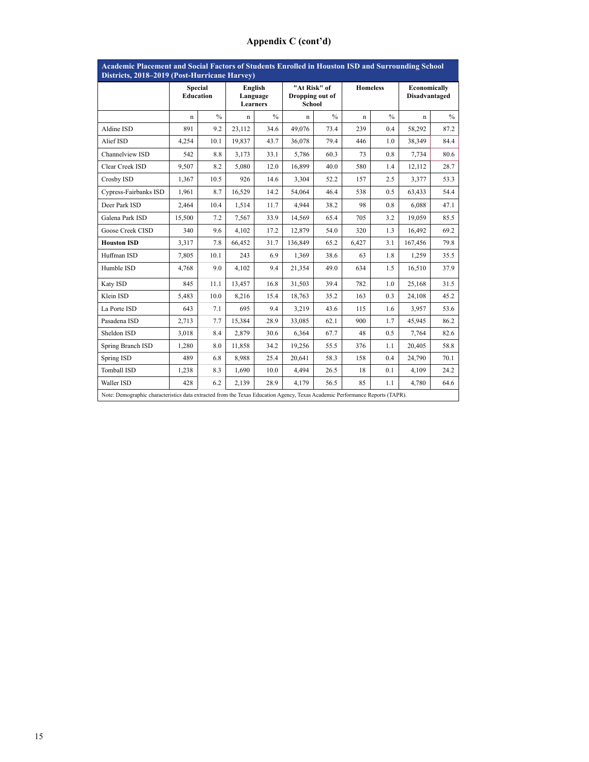# **Appendix C (cont'd)**

| <b>Academic Placement and Social Factors of Students Enrolled in Houston ISD and Surrounding School</b><br>Districts, 2018-2019 (Post-Hurricane Harvey) |                                    |      |                                 |               |                                                  |               |                 |      |                                      |               |  |  |
|---------------------------------------------------------------------------------------------------------------------------------------------------------|------------------------------------|------|---------------------------------|---------------|--------------------------------------------------|---------------|-----------------|------|--------------------------------------|---------------|--|--|
|                                                                                                                                                         | <b>Special</b><br><b>Education</b> |      | English<br>Language<br>Learners |               | "At Risk" of<br>Dropping out of<br><b>School</b> |               | <b>Homeless</b> |      | Economically<br><b>Disadvantaged</b> |               |  |  |
|                                                                                                                                                         | $\mathbf n$                        | $\%$ | n                               | $\frac{0}{0}$ | $\mathbf n$                                      | $\frac{0}{0}$ | $\mathbf n$     | $\%$ | $\mathbf n$                          | $\frac{0}{0}$ |  |  |
| Aldine ISD                                                                                                                                              | 891                                | 9.2  | 23,112                          | 34.6          | 49,076                                           | 73.4          | 239             | 0.4  | 58,292                               | 87.2          |  |  |
| Alief ISD                                                                                                                                               | 4.254                              | 10.1 | 19.837                          | 43.7          | 36,078                                           | 79.4          | 446             | 1.0  | 38.349                               | 84.4          |  |  |
| Channelview ISD                                                                                                                                         | 542                                | 8.8  | 3,173                           | 33.1          | 5,786                                            | 60.3          | 73              | 0.8  | 7,734                                | 80.6          |  |  |
| Clear Creek ISD                                                                                                                                         | 9.507                              | 8.2  | 5.080                           | 12.0          | 16.899                                           | 40.0          | 580             | 1.4  | 12,112                               | 28.7          |  |  |
| Crosby ISD                                                                                                                                              | 1,367                              | 10.5 | 926                             | 14.6          | 3,304                                            | 52.2          | 157             | 2.5  | 3,377                                | 53.3          |  |  |
| Cypress-Fairbanks ISD                                                                                                                                   | 1,961                              | 8.7  | 16,529                          | 14.2          | 54,064                                           | 46.4          | 538             | 0.5  | 63,433                               | 54.4          |  |  |
| Deer Park ISD                                                                                                                                           | 2,464                              | 10.4 | 1,514                           | 11.7          | 4.944                                            | 38.2          | 98              | 0.8  | 6,088                                | 47.1          |  |  |
| Galena Park ISD                                                                                                                                         | 15,500                             | 7.2  | 7,567                           | 33.9          | 14,569                                           | 65.4          | 705             | 3.2  | 19,059                               | 85.5          |  |  |
| Goose Creek CISD                                                                                                                                        | 340                                | 9.6  | 4,102                           | 17.2          | 12,879                                           | 54.0          | 320             | 1.3  | 16,492                               | 69.2          |  |  |
| <b>Houston ISD</b>                                                                                                                                      | 3,317                              | 7.8  | 66,452                          | 31.7          | 136,849                                          | 65.2          | 6,427           | 3.1  | 167,456                              | 79.8          |  |  |
| Huffman ISD                                                                                                                                             | 7,805                              | 10.1 | 243                             | 6.9           | 1,369                                            | 38.6          | 63              | 1.8  | 1,259                                | 35.5          |  |  |
| Humble ISD                                                                                                                                              | 4,768                              | 9.0  | 4,102                           | 9.4           | 21,354                                           | 49.0          | 634             | 1.5  | 16,510                               | 37.9          |  |  |
| Katy ISD                                                                                                                                                | 845                                | 11.1 | 13,457                          | 16.8          | 31,503                                           | 39.4          | 782             | 1.0  | 25,168                               | 31.5          |  |  |
| Klein ISD                                                                                                                                               | 5,483                              | 10.0 | 8,216                           | 15.4          | 18,763                                           | 35.2          | 163             | 0.3  | 24,108                               | 45.2          |  |  |
| La Porte ISD                                                                                                                                            | 643                                | 7.1  | 695                             | 9.4           | 3,219                                            | 43.6          | 115             | 1.6  | 3,957                                | 53.6          |  |  |
| Pasadena ISD                                                                                                                                            | 2,713                              | 7.7  | 15,384                          | 28.9          | 33,085                                           | 62.1          | 900             | 1.7  | 45,945                               | 86.2          |  |  |
| Sheldon ISD                                                                                                                                             | 3,018                              | 8.4  | 2,879                           | 30.6          | 6,364                                            | 67.7          | 48              | 0.5  | 7,764                                | 82.6          |  |  |
| Spring Branch ISD                                                                                                                                       | 1,280                              | 8.0  | 11,858                          | 34.2          | 19,256                                           | 55.5          | 376             | 1.1  | 20,405                               | 58.8          |  |  |
| Spring ISD                                                                                                                                              | 489                                | 6.8  | 8,988                           | 25.4          | 20,641                                           | 58.3          | 158             | 0.4  | 24,790                               | 70.1          |  |  |
| Tomball ISD                                                                                                                                             | 1,238                              | 8.3  | 1,690                           | 10.0          | 4,494                                            | 26.5          | 18              | 0.1  | 4.109                                | 24.2          |  |  |
| Waller ISD                                                                                                                                              | 428                                | 6.2  | 2.139                           | 28.9          | 4.179                                            | 56.5          | 85              | 1.1  | 4,780                                | 64.6          |  |  |
| Note: Demographic characteristics data extracted from the Texas Education Agency, Texas Academic Performance Reports (TAPR).                            |                                    |      |                                 |               |                                                  |               |                 |      |                                      |               |  |  |